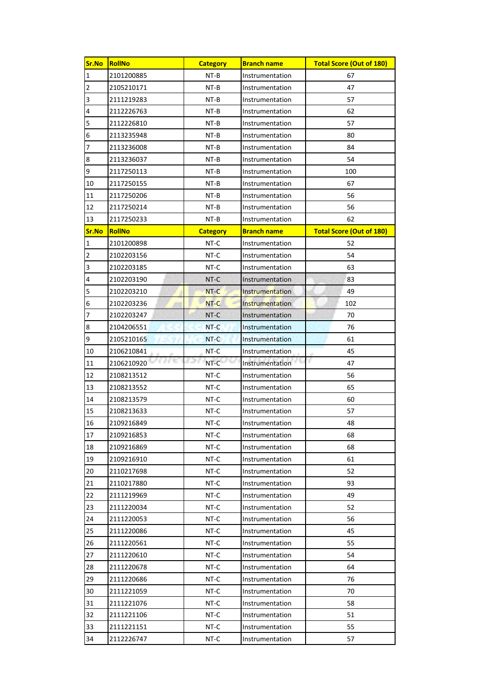| Sr.No          | RollNo        | <b>Category</b> | <b>Branch name</b>     | <b>Total Score (Out of 180)</b> |
|----------------|---------------|-----------------|------------------------|---------------------------------|
| $\mathbf 1$    | 2101200885    | NT-B            | Instrumentation        | 67                              |
| $\overline{c}$ | 2105210171    | NT-B            | Instrumentation        | 47                              |
| 3              | 2111219283    | NT-B            | Instrumentation        | 57                              |
| 4              | 2112226763    | NT-B            | Instrumentation        | 62                              |
| 5              | 2112226810    | NT-B            | Instrumentation        | 57                              |
| 6              | 2113235948    | NT-B            | Instrumentation        | 80                              |
| 7              | 2113236008    | NT-B            | Instrumentation        | 84                              |
| 8              | 2113236037    | NT-B            | Instrumentation        | 54                              |
| 9              | 2117250113    | NT-B            | Instrumentation        | 100                             |
| 10             | 2117250155    | NT-B            | Instrumentation        | 67                              |
| 11             | 2117250206    | NT-B            | Instrumentation        | 56                              |
| 12             | 2117250214    | NT-B            | Instrumentation        | 56                              |
| 13             | 2117250233    | NT-B            | Instrumentation        | 62                              |
| Sr.No          | <b>RollNo</b> | <b>Category</b> | <b>Branch name</b>     | <b>Total Score (Out of 180)</b> |
| $\mathbf{1}$   | 2101200898    | NT-C            | Instrumentation        | 52                              |
| $\overline{c}$ | 2102203156    | NT-C            | Instrumentation        | 54                              |
| 3              | 2102203185    | NT-C            | Instrumentation        | 63                              |
| 4              | 2102203190    | NT-C            | Instrumentation        | 83                              |
| 5              | 2102203210    | NT-C            | Instrumentation        | 49                              |
| 6              | 2102203236    | NT-C            | Instrumentation        | 102                             |
| 7              | 2102203247    | NT-C            | Instrumentation        | 70                              |
| 8              | 2104206551    | NT-C            | Instrumentation        | 76                              |
| 9              | 2105210165    | NT-C            | <b>Instrumentation</b> | 61                              |
| 10             | 2106210841    | NT-C            | Instrumentation        | 45                              |
| 11             | 2106210920    | 757<br>NT-C     | Instrumentation        | F.<br>47                        |
| 12             | 2108213512    | NT-C            | Instrumentation        | 56                              |
| 13             | 2108213552    | NT-C            | Instrumentation        | 65                              |
| 14             | 2108213579    | NT-C            | Instrumentation        | 60                              |
| 15             | 2108213633    | NT-C            | Instrumentation        | 57                              |
| 16             | 2109216849    | NT-C            | Instrumentation        | 48                              |
| 17             | 2109216853    | NT-C            | Instrumentation        | 68                              |
| 18             | 2109216869    | NT-C            | Instrumentation        | 68                              |
| 19             | 2109216910    | NT-C            | Instrumentation        | 61                              |
| 20             | 2110217698    | NT-C            | Instrumentation        | 52                              |
| 21             | 2110217880    | NT-C            | Instrumentation        | 93                              |
| 22             | 2111219969    | NT-C            | Instrumentation        | 49                              |
| 23             | 2111220034    | NT-C            | Instrumentation        | 52                              |
| 24             | 2111220053    | NT-C            | Instrumentation        | 56                              |
| 25             | 2111220086    | NT-C            | Instrumentation        | 45                              |
| 26             | 2111220561    | NT-C            | Instrumentation        | 55                              |
| 27             | 2111220610    | NT-C            | Instrumentation        | 54                              |
| 28             | 2111220678    | NT-C            | Instrumentation        | 64                              |
| 29             | 2111220686    | NT-C            | Instrumentation        | 76                              |
| 30             | 2111221059    | NT-C            | Instrumentation        | 70                              |
| 31             | 2111221076    | NT-C            | Instrumentation        | 58                              |
| 32             | 2111221106    | NT-C            | Instrumentation        | 51                              |
| 33             | 2111221151    | NT-C            | Instrumentation        | 55                              |
| 34             | 2112226747    | NT-C            | Instrumentation        | 57                              |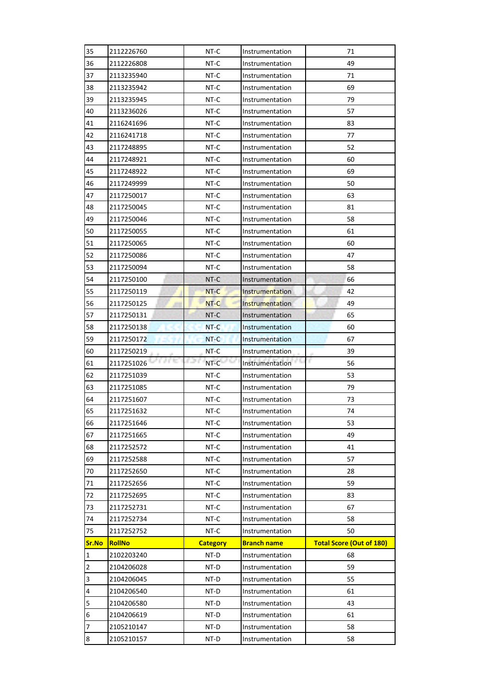| 35             | 2112226760         | NT-C            | Instrumentation                    | 71                              |
|----------------|--------------------|-----------------|------------------------------------|---------------------------------|
| 36             | 2112226808         | NT-C            | Instrumentation                    | 49                              |
| 37             | 2113235940         | NT-C            | Instrumentation                    | 71                              |
| 38             | 2113235942         | NT-C            | Instrumentation                    | 69                              |
| 39             | 2113235945         | NT-C            | Instrumentation                    | 79                              |
| 40             | 2113236026         | $NT-C$          | Instrumentation                    | 57                              |
| 41             | 2116241696         | NT-C            | Instrumentation                    | 83                              |
| 42             | 2116241718         | NT-C            | Instrumentation                    | 77                              |
| 43             | 2117248895         | NT-C            | Instrumentation                    | 52                              |
| 44             | 2117248921         | NT-C            | Instrumentation                    | 60                              |
| 45             | 2117248922         | NT-C            | Instrumentation                    | 69                              |
| 46             | 2117249999         | NT-C            | Instrumentation                    | 50                              |
| 47             | 2117250017         | NT-C            | Instrumentation                    | 63                              |
| 48             | 2117250045         | NT-C            | Instrumentation                    | 81                              |
| 49             | 2117250046         | NT-C            | Instrumentation                    | 58                              |
| 50             | 2117250055         | NT-C            | Instrumentation                    | 61                              |
| 51             | 2117250065         | NT-C            | Instrumentation                    | 60                              |
| 52             | 2117250086         | NT-C            | Instrumentation                    | 47                              |
| 53             | 2117250094         | NT-C            | Instrumentation                    | 58                              |
| 54             | 2117250100         | NT-C            | Instrumentation                    | 66                              |
| 55             | 2117250119         | NT-C            | <b>Instrumentation</b>             | 42                              |
| 56             | 2117250125         | NT-C            | Instrumentation                    | 49                              |
| 57             | 2117250131         | NT-C            | Instrumentation                    | 65                              |
| 58             | 2117250138         | NT-C            | Instrumentation                    | 60                              |
| 59             | 2117250172         | NT-C            | Instrumentation                    | 67                              |
| 60             | 2117250219         | NT-C            | Instrumentation                    | 39                              |
| 61             | a nu<br>2117251026 | NT-C            | Instrumentation                    | r<br>56                         |
| 62             | 2117251039         | NT-C            | Instrumentation                    | 53                              |
| 63             | 2117251085         | NT-C            | Instrumentation                    | 79                              |
| 64             | 2117251607         | NT-C            | Instrumentation                    | 73                              |
| 65             | 2117251632         | NT-C            | Instrumentation                    | 74                              |
| 66             | 2117251646         | NT-C            | Instrumentation                    | 53                              |
| 67             | 2117251665         | NT-C            | Instrumentation                    | 49                              |
| 68             | 2117252572         | NT-C            | Instrumentation                    | 41                              |
| 69             | 2117252588         | NT-C            | Instrumentation                    | 57                              |
| 70             | 2117252650         | NT-C            | Instrumentation                    | 28                              |
| 71             | 2117252656         | NT-C            | Instrumentation                    | 59                              |
| 72             |                    |                 |                                    |                                 |
|                | 2117252695         | NT-C            | Instrumentation                    | 83                              |
| 73             | 2117252731         | NT-C            | Instrumentation                    | 67                              |
| 74             | 2117252734         | NT-C            | Instrumentation                    | 58                              |
| 75             | 2117252752         | NT-C            | Instrumentation                    | 50                              |
| Sr.No          | <b>RollNo</b>      | <b>Category</b> | <b>Branch name</b>                 | <b>Total Score (Out of 180)</b> |
| $\mathbf{1}$   | 2102203240         | NT-D            | Instrumentation                    | 68                              |
| $\overline{2}$ | 2104206028         | NT-D            | Instrumentation                    | 59                              |
| 3              | 2104206045         | NT-D            | Instrumentation                    | 55                              |
| 4              | 2104206540         | NT-D            | Instrumentation                    | 61                              |
| 5              | 2104206580         | NT-D            | Instrumentation                    | 43                              |
| 6              | 2104206619         | NT-D            | Instrumentation                    | 61                              |
| 7<br>$\bf 8$   | 2105210147         | NT-D            | Instrumentation<br>Instrumentation | 58<br>58                        |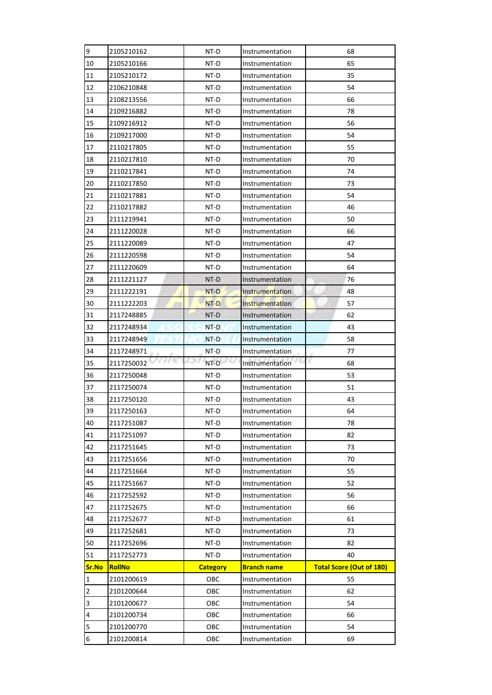| 9                       | 2105210162               | NT-D            | Instrumentation                    | 68                              |
|-------------------------|--------------------------|-----------------|------------------------------------|---------------------------------|
| 10                      | 2105210166               | NT-D            | Instrumentation                    | 65                              |
| 11                      | 2105210172               | NT-D            | Instrumentation                    | 35                              |
| 12                      | 2106210848               | NT-D            | Instrumentation                    | 54                              |
| 13                      | 2108213556               | NT-D            | Instrumentation                    | 66                              |
| 14                      | 2109216882               | NT-D            | Instrumentation                    | 78                              |
| 15                      | 2109216912               | NT-D            | Instrumentation                    | 56                              |
| 16                      | 2109217000               | NT-D            | Instrumentation                    | 54                              |
| 17                      | 2110217805               | NT-D            | Instrumentation                    | 55                              |
| 18                      | 2110217810               | NT-D            | Instrumentation                    | 70                              |
| 19                      | 2110217841               | NT-D            | Instrumentation                    | 74                              |
| 20                      | 2110217850               | NT-D            | Instrumentation                    | 73                              |
| 21                      | 2110217881               | NT-D            | Instrumentation                    | 54                              |
| 22                      | 2110217882               | NT-D            | Instrumentation                    | 46                              |
| 23                      | 2111219941               | NT-D            | Instrumentation                    | 50                              |
| 24                      | 2111220028               | NT-D            | Instrumentation                    | 66                              |
| 25                      | 2111220089               | NT-D            | Instrumentation                    | 47                              |
| 26                      | 2111220598               | NT-D            | Instrumentation                    | 54                              |
| 27                      | 2111220609               | NT-D            | Instrumentation                    | 64                              |
| 28                      | 2111221127               | NT-D            | Instrumentation                    | 76                              |
| 29                      | 2111222191               | NT-D            | <b>Instrumentation</b>             | 48                              |
| 30                      | 2111222203               | NT-D            | Instrumentation                    | 57                              |
| 31                      | 2117248885               | NT-D            | Instrumentation                    | 62                              |
| 32                      | 2117248934               | NT-D            | Instrumentation                    | 43                              |
| 33                      | 2117248949               | NT-D            | Instrumentation                    | 58                              |
| 34                      | 2117248971               | NT-D            | Instrumentation                    | 77                              |
| 35                      | 法自助<br>2117250032        | 62 1<br>NT-D    | Instrumentation                    | r<br>68                         |
| 36                      | 2117250048               | NT-D            | Instrumentation                    | 53                              |
| 37                      | 2117250074               | NT-D            | Instrumentation                    | 51                              |
| 38                      | 2117250120               | NT-D            | Instrumentation                    | 43                              |
| 39                      | 2117250163               | NT-D            | Instrumentation                    | 64                              |
| 40                      | 2117251087               | NT-D            | Instrumentation                    | 78                              |
| 41                      | 2117251097               | NT-D            | Instrumentation                    | 82                              |
| 42                      | 2117251645               | NT-D            | Instrumentation                    | 73                              |
| 43                      | 2117251656               | NT-D            | Instrumentation                    | 70                              |
| 44                      | 2117251664               | NT-D            | Instrumentation                    | 55                              |
| 45                      | 2117251667               | NT-D            | Instrumentation                    | 52                              |
| 46                      | 2117252592               | NT-D            | Instrumentation                    | 56                              |
| 47                      | 2117252675               | NT-D            | Instrumentation                    | 66                              |
| 48                      | 2117252677               | NT-D            | Instrumentation                    | 61                              |
| 49                      | 2117252681               | NT-D            | Instrumentation                    | 73                              |
| 50                      | 2117252696               | NT-D            | Instrumentation                    | 82                              |
| 51                      | 2117252773               | NT-D            | Instrumentation                    | 40                              |
| Sr.No                   | RollNo                   | <b>Category</b> | <b>Branch name</b>                 | <b>Total Score (Out of 180)</b> |
| $\mathbf{1}$            | 2101200619               | OBC             | Instrumentation                    | 55                              |
| $\overline{\mathbf{c}}$ | 2101200644               | ОВС             | Instrumentation                    | 62                              |
| 3                       | 2101200677               | OBC             | Instrumentation                    | 54                              |
| 4                       | 2101200734               | OBC             | Instrumentation                    | 66                              |
| 5                       |                          |                 |                                    |                                 |
| 6                       | 2101200770<br>2101200814 | OBC<br>OBC      | Instrumentation<br>Instrumentation | 54<br>69                        |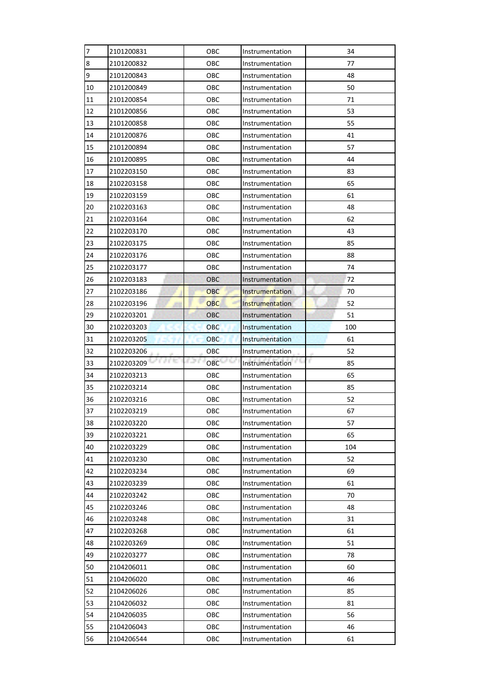| 7        | 2101200831           | ОВС                | Instrumentation        | 34      |
|----------|----------------------|--------------------|------------------------|---------|
| 8        | 2101200832           | ОВС                | Instrumentation        | 77      |
| 9        | 2101200843           | OBC                | Instrumentation        | 48      |
| 10       | 2101200849           | OBC                | Instrumentation        | 50      |
| 11       | 2101200854           | ОВС                | Instrumentation        | 71      |
| 12       | 2101200856           | OBC                | Instrumentation        | 53      |
| 13       | 2101200858           | ОВС                | Instrumentation        | 55      |
| 14       | 2101200876           | ОВС                | Instrumentation        | 41      |
| 15       | 2101200894           | OBC                | Instrumentation        | 57      |
| 16       | 2101200895           | OBC                | Instrumentation        | 44      |
| 17       | 2102203150           | ОВС                | Instrumentation        | 83      |
| 18       | 2102203158           | OBC                | Instrumentation        | 65      |
| 19       | 2102203159           | ОВС                | Instrumentation        | 61      |
| 20       | 2102203163           | OBC                | Instrumentation        | 48      |
| 21       | 2102203164           | ОВС                | Instrumentation        | 62      |
| 22       | 2102203170           | OBC                | Instrumentation        | 43      |
| 23       | 2102203175           | OBC                | Instrumentation        | 85      |
| 24       | 2102203176           | OBC                | Instrumentation        | 88      |
| 25       | 2102203177           | ОВС                | Instrumentation        | 74      |
| 26       | 2102203183           | OBC                | Instrumentation        | 72      |
| 27       | 2102203186           | OBC                | <b>Instrumentation</b> | 70      |
| 28       | 2102203196           | <b>OBC</b>         | Instrumentation        | 52      |
| 29       | 2102203201           | <b>OBC</b>         | Instrumentation        | 51      |
| 30       | 2102203203           | <b>OBC</b>         | Instrumentation        | 100     |
| 31       | 2102203205           | OBC                | Instrumentation        | 61      |
| 32       | 2102203206           | OBC                | Instrumentation        | 52      |
| 33       | A City<br>2102203209 | 62 6<br><b>OBC</b> | Instrumentation        | г<br>85 |
| 34       | 2102203213           | OBC                | Instrumentation        | 65      |
| 35       | 2102203214           | OBC                | Instrumentation        | 85      |
| 36       | 2102203216           | OBC                | Instrumentation        | 52      |
| 37       | 2102203219           | OBC                | Instrumentation        | 67      |
| 38       | 2102203220           | OBC                | Instrumentation        | 57      |
| 39       | 2102203221           | OBC                | Instrumentation        | 65      |
| 40       | 2102203229           | OBC                | Instrumentation        | 104     |
| 41       | 2102203230           | OBC                | Instrumentation        | 52      |
| 42       | 2102203234           | OBC                | Instrumentation        | 69      |
| 43       | 2102203239           | OBC                | Instrumentation        | 61      |
| 44       | 2102203242           | OBC                | Instrumentation        | 70      |
| 45       | 2102203246           | OBC                | Instrumentation        | 48      |
| 46       |                      |                    |                        |         |
|          | 2102203248           | OBC                | Instrumentation        | 31      |
| 47       | 2102203268           | OBC                | Instrumentation        | 61      |
| 48       | 2102203269           | OBC                | Instrumentation        | 51      |
| 49       | 2102203277           | OBC                | Instrumentation        | 78      |
| 50       | 2104206011           | OBC                | Instrumentation        | 60      |
| 51       | 2104206020           | OBC                | Instrumentation        | 46      |
|          | 2104206026           | OBC                | Instrumentation        | 85      |
| 52<br>53 | 2104206032           | OBC                | Instrumentation        | 81      |
| 54       | 2104206035           | OBC                | Instrumentation        | 56      |
|          | 2104206043           | OBC                | Instrumentation        | 46      |
| 55<br>56 | 2104206544           | OBC                | Instrumentation        | 61      |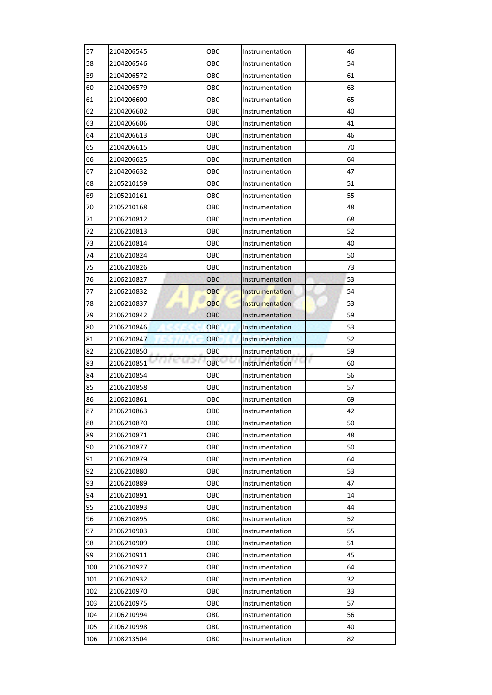| 57  | 2104206545 | ОВС                 | Instrumentation        | 46      |
|-----|------------|---------------------|------------------------|---------|
| 58  | 2104206546 | ОВС                 | Instrumentation        | 54      |
| 59  | 2104206572 | OBC                 | Instrumentation        | 61      |
| 60  | 2104206579 | OBC                 | Instrumentation        | 63      |
| 61  | 2104206600 | OBC                 | Instrumentation        | 65      |
| 62  | 2104206602 | OBC                 | Instrumentation        | 40      |
| 63  | 2104206606 | ОВС                 | Instrumentation        | 41      |
| 64  | 2104206613 | ОВС                 | Instrumentation        | 46      |
| 65  | 2104206615 | OBC                 | Instrumentation        | 70      |
| 66  | 2104206625 | OBC                 | Instrumentation        | 64      |
| 67  | 2104206632 | ОВС                 | Instrumentation        | 47      |
| 68  | 2105210159 | OBC                 | Instrumentation        | 51      |
| 69  | 2105210161 | ОВС                 | Instrumentation        | 55      |
| 70  | 2105210168 | OBC                 | Instrumentation        | 48      |
| 71  | 2106210812 | ОВС                 | Instrumentation        | 68      |
| 72  | 2106210813 | OBC                 | Instrumentation        | 52      |
| 73  | 2106210814 | ОВС                 | Instrumentation        | 40      |
| 74  | 2106210824 | ОВС                 | Instrumentation        | 50      |
| 75  | 2106210826 | ОВС                 | Instrumentation        | 73      |
| 76  | 2106210827 | OBC                 | Instrumentation        | 53      |
| 77  | 2106210832 | OBC                 | <b>Instrumentation</b> | 54      |
| 78  | 2106210837 | <b>OBC</b>          | Instrumentation        | 53      |
| 79  | 2106210842 | <b>OBC</b>          | Instrumentation        | 59      |
| 80  | 2106210846 | <b>OBC</b>          | Instrumentation        | 53      |
| 81  | 2106210847 | OBC                 | Instrumentation        | 52      |
|     |            |                     |                        |         |
| 82  | 2106210850 | OBC                 | Instrumentation        | 59      |
| 83  | 2106210851 | r 2 K<br><b>OBC</b> | Instrumentation        | r<br>60 |
| 84  | 2106210854 | OBC                 | Instrumentation        | 56      |
| 85  | 2106210858 | OBC                 | Instrumentation        | 57      |
| 86  | 2106210861 | OBC                 | Instrumentation        | 69      |
| 87  | 2106210863 | ОВС                 | Instrumentation        | 42      |
| 88  | 2106210870 | OBC                 | Instrumentation        | 50      |
| 89  | 2106210871 | OBC                 | Instrumentation        | 48      |
| 90  | 2106210877 | OBC                 | Instrumentation        | 50      |
| 91  | 2106210879 | OBC                 | Instrumentation        | 64      |
| 92  | 2106210880 | OBC                 | Instrumentation        | 53      |
| 93  | 2106210889 | OBC                 | Instrumentation        | 47      |
| 94  | 2106210891 | OBC                 | Instrumentation        | 14      |
| 95  | 2106210893 | OBC                 | Instrumentation        | 44      |
| 96  | 2106210895 | OBC                 | Instrumentation        | 52      |
| 97  | 2106210903 | OBC                 | Instrumentation        | 55      |
| 98  | 2106210909 | OBC                 | Instrumentation        | 51      |
| 99  | 2106210911 | OBC                 | Instrumentation        | 45      |
| 100 | 2106210927 | OBC                 | Instrumentation        | 64      |
| 101 | 2106210932 | OBC                 | Instrumentation        | 32      |
| 102 | 2106210970 | OBC                 | Instrumentation        | 33      |
| 103 | 2106210975 | OBC                 | Instrumentation        | 57      |
| 104 | 2106210994 | OBC                 | Instrumentation        | 56      |
| 105 | 2106210998 | OBC                 | Instrumentation        | 40      |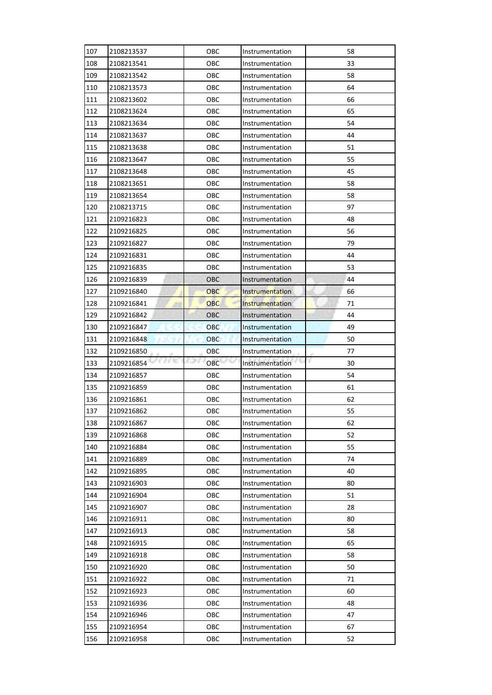| 107        | 2108213537 | OBC        | Instrumentation | 58       |
|------------|------------|------------|-----------------|----------|
| 108        | 2108213541 | OBC        | Instrumentation | 33       |
| 109        | 2108213542 | OBC        | Instrumentation | 58       |
| 110        | 2108213573 | OBC        | Instrumentation | 64       |
| 111        | 2108213602 | OBC        | Instrumentation | 66       |
| 112        | 2108213624 | OBC        | Instrumentation | 65       |
| 113        | 2108213634 | OBC        | Instrumentation | 54       |
| 114        | 2108213637 | OBC        | Instrumentation | 44       |
| 115        | 2108213638 | OBC        | Instrumentation | 51       |
| 116        | 2108213647 | OBC        | Instrumentation | 55       |
| 117        | 2108213648 | OBC        | Instrumentation | 45       |
| 118        | 2108213651 | OBC        | Instrumentation | 58       |
| 119        | 2108213654 | OBC        | Instrumentation | 58       |
| 120        | 2108213715 | OBC        | Instrumentation | 97       |
| 121        | 2109216823 | OBC        | Instrumentation | 48       |
| 122        | 2109216825 | OBC        | Instrumentation | 56       |
| 123        | 2109216827 | OBC        | Instrumentation | 79       |
| 124        | 2109216831 | OBC        | Instrumentation | 44       |
| 125        | 2109216835 | OBC        | Instrumentation | 53       |
| 126        | 2109216839 | OBC        | Instrumentation | 44       |
| 127        | 2109216840 | OBC        | Instrumentation | 66       |
| 128        | 2109216841 | <b>OBC</b> | Instrumentation | 71       |
| 129        | 2109216842 | <b>OBC</b> | Instrumentation | 44       |
| 130        | 2109216847 | <b>OBC</b> | Instrumentation | 49       |
| 131        | 2109216848 | <b>OBC</b> | Instrumentation | 50       |
| 132        | 2109216850 | OBC        | Instrumentation | 77       |
| 133        | 2109216854 | 621<br>OBC | Instrumentation | r<br>30  |
| 134        | 2109216857 | OBC        | Instrumentation | 54       |
| 135        | 2109216859 | OBC        | Instrumentation | 61       |
| 136        | 2109216861 | OBC        | Instrumentation | 62       |
| 137        | 2109216862 | OBC        | Instrumentation | 55       |
| 138        | 2109216867 | OBC        | Instrumentation | 62       |
| 139        | 2109216868 | OBC        | Instrumentation | 52       |
| 140        | 2109216884 | OBC        | Instrumentation | 55       |
| 141        | 2109216889 | OBC        | Instrumentation | 74       |
| 142        | 2109216895 | OBC        | Instrumentation | 40       |
| 143        | 2109216903 | OBC        | Instrumentation | 80       |
| 144        | 2109216904 | OBC        | Instrumentation | 51       |
| 145        | 2109216907 | OBC        | Instrumentation | 28       |
| 146        | 2109216911 | OBC        | Instrumentation | 80       |
| 147        | 2109216913 | OBC        | Instrumentation | 58       |
| 148        | 2109216915 | OBC        | Instrumentation | 65       |
| 149        | 2109216918 | OBC        | Instrumentation | 58       |
| 150        | 2109216920 | OBC        | Instrumentation | 50       |
| 151        | 2109216922 | OBC        | Instrumentation | 71       |
| 152        | 2109216923 | OBC        | Instrumentation | 60       |
|            |            |            |                 |          |
| 153        | 2109216936 | OBC        | Instrumentation | 48       |
| 154        | 2109216946 | OBC        | Instrumentation | 47       |
| 155<br>156 | 2109216954 | OBC<br>OBC | Instrumentation | 67<br>52 |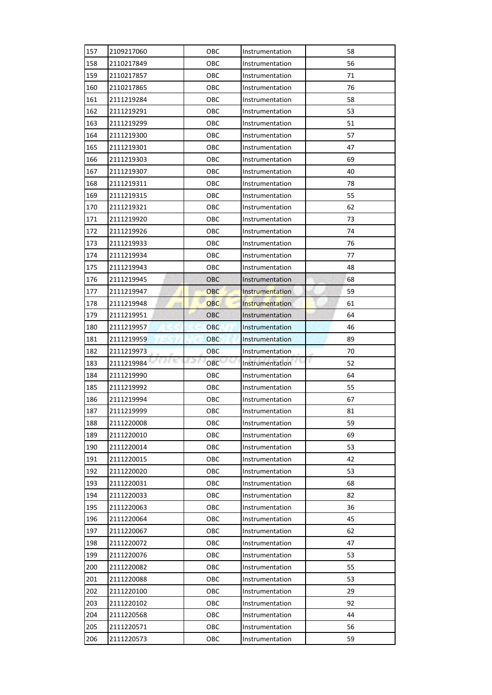| 157 | 2109217060 | OBC        | Instrumentation | 58      |
|-----|------------|------------|-----------------|---------|
| 158 | 2110217849 | OBC        | Instrumentation | 56      |
| 159 | 2110217857 | OBC        | Instrumentation | 71      |
| 160 | 2110217865 | OBC        | Instrumentation | 76      |
| 161 | 2111219284 | OBC        | Instrumentation | 58      |
| 162 | 2111219291 | OBC        | Instrumentation | 53      |
| 163 | 2111219299 | OBC        | Instrumentation | 51      |
| 164 | 2111219300 | OBC        | Instrumentation | 57      |
| 165 | 2111219301 | OBC        | Instrumentation | 47      |
| 166 | 2111219303 | OBC        | Instrumentation | 69      |
| 167 | 2111219307 | OBC        | Instrumentation | 40      |
| 168 | 2111219311 | OBC        | Instrumentation | 78      |
| 169 | 2111219315 | OBC        | Instrumentation | 55      |
| 170 | 2111219321 | OBC        | Instrumentation | 62      |
| 171 | 2111219920 | OBC        | Instrumentation | 73      |
| 172 | 2111219926 | OBC        | Instrumentation | 74      |
| 173 | 2111219933 | OBC        | Instrumentation | 76      |
| 174 | 2111219934 | OBC        | Instrumentation | 77      |
| 175 | 2111219943 | OBC        | Instrumentation | 48      |
| 176 | 2111219945 | OBC        | Instrumentation | 68      |
| 177 | 2111219947 | OBC        | Instrumentation | 59      |
| 178 | 2111219948 | <b>OBC</b> | Instrumentation | 61      |
| 179 | 2111219951 | <b>OBC</b> | Instrumentation | 64      |
| 180 | 2111219957 | <b>OBC</b> | Instrumentation | 46      |
| 181 | 2111219959 | <b>OBC</b> | Instrumentation | 89      |
| 182 | 2111219973 | OBC        | Instrumentation | 70      |
|     |            |            |                 |         |
| 183 | 2111219984 | 621<br>OBC | Instrumentation | r<br>52 |
| 184 | 2111219990 | ОВС        | Instrumentation | 64      |
| 185 | 2111219992 | OBC        | Instrumentation | 55      |
| 186 | 2111219994 | OBC        | Instrumentation | 67      |
| 187 | 2111219999 | OBC        | Instrumentation | 81      |
| 188 | 2111220008 | OBC        | Instrumentation | 59      |
| 189 | 2111220010 | OBC        | Instrumentation | 69      |
| 190 | 2111220014 | OBC        | Instrumentation | 53      |
| 191 | 2111220015 | OBC        | Instrumentation | 42      |
| 192 | 2111220020 | OBC        | Instrumentation | 53      |
| 193 | 2111220031 | OBC        | Instrumentation | 68      |
| 194 | 2111220033 | OBC        | Instrumentation | 82      |
| 195 | 2111220063 | OBC        | Instrumentation | 36      |
| 196 | 2111220064 | OBC        | Instrumentation | 45      |
| 197 | 2111220067 | OBC        | Instrumentation | 62      |
| 198 | 2111220072 | OBC        | Instrumentation | 47      |
| 199 | 2111220076 | OBC        | Instrumentation | 53      |
| 200 | 2111220082 | OBC        | Instrumentation | 55      |
| 201 | 2111220088 | OBC        | Instrumentation | 53      |
| 202 | 2111220100 | OBC        | Instrumentation | 29      |
| 203 | 2111220102 | OBC        | Instrumentation | 92      |
| 204 | 2111220568 | OBC        | Instrumentation | 44      |
| 205 | 2111220571 | OBC        | Instrumentation | 56      |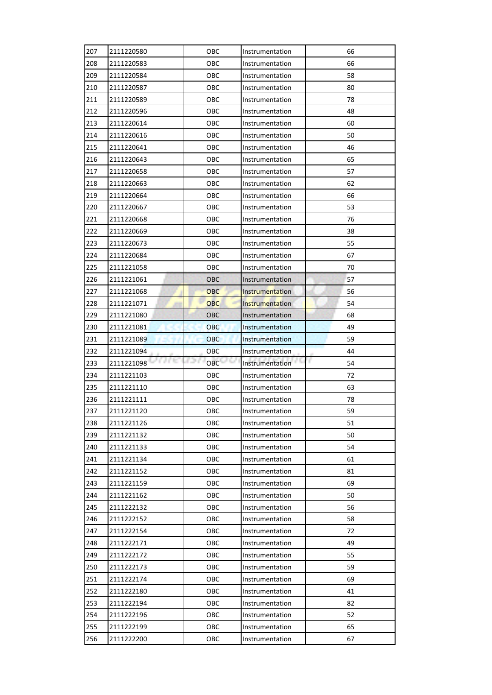| 207 | 2111220580 | OBC        | Instrumentation        | 66       |
|-----|------------|------------|------------------------|----------|
| 208 | 2111220583 | ОВС        | Instrumentation        | 66       |
| 209 | 2111220584 | OBC        | Instrumentation        | 58       |
| 210 | 2111220587 | OBC        | Instrumentation        | 80       |
| 211 | 2111220589 | OBC        | Instrumentation        | 78       |
| 212 | 2111220596 | OBC        | Instrumentation        | 48       |
| 213 | 2111220614 | OBC        | Instrumentation        | 60       |
| 214 | 2111220616 | ОВС        | Instrumentation        | 50       |
| 215 | 2111220641 | OBC        | Instrumentation        | 46       |
| 216 | 2111220643 | OBC        | Instrumentation        | 65       |
| 217 | 2111220658 | OBC        | Instrumentation        | 57       |
| 218 | 2111220663 | OBC        | Instrumentation        | 62       |
| 219 | 2111220664 | OBC        | Instrumentation        | 66       |
| 220 | 2111220667 | OBC        | Instrumentation        | 53       |
| 221 | 2111220668 | ОВС        | Instrumentation        | 76       |
| 222 | 2111220669 | OBC        | Instrumentation        | 38       |
| 223 | 2111220673 | OBC        | Instrumentation        | 55       |
| 224 | 2111220684 | OBC        | Instrumentation        | 67       |
| 225 | 2111221058 | ОВС        | Instrumentation        | 70       |
| 226 | 2111221061 | OBC        | Instrumentation        | 57       |
| 227 | 2111221068 | OBC        | <b>Instrumentation</b> | 56       |
| 228 | 2111221071 | <b>OBC</b> | Instrumentation        | 54       |
| 229 | 2111221080 | <b>OBC</b> | Instrumentation        | 68       |
| 230 | 2111221081 | <b>OBC</b> | Instrumentation        | 49       |
| 231 | 2111221089 | <b>OBC</b> | Instrumentation        | 59       |
|     |            |            |                        |          |
| 232 | 2111221094 | OBC        | Instrumentation        | 44       |
| 233 | 2111221098 | OBC        | Instrumentation        | F.<br>54 |
| 234 | 2111221103 | OBC        | Instrumentation        | 72       |
| 235 | 2111221110 | OBC        | Instrumentation        | 63       |
| 236 | 2111221111 | OBC        | Instrumentation        | 78       |
| 237 | 2111221120 | OBC        | Instrumentation        | 59       |
| 238 | 2111221126 | OBC        | Instrumentation        | 51       |
| 239 | 2111221132 | OBC        | Instrumentation        | 50       |
| 240 | 2111221133 | OBC        | Instrumentation        | 54       |
| 241 | 2111221134 | OBC        | Instrumentation        | 61       |
| 242 | 2111221152 | OBC        | Instrumentation        | 81       |
| 243 | 2111221159 | OBC        | Instrumentation        | 69       |
| 244 | 2111221162 | OBC        | Instrumentation        | 50       |
| 245 | 2111222132 | OBC        | Instrumentation        | 56       |
| 246 | 2111222152 | OBC        | Instrumentation        | 58       |
| 247 | 2111222154 | OBC        | Instrumentation        | 72       |
| 248 | 2111222171 | OBC        | Instrumentation        | 49       |
| 249 | 2111222172 | OBC        | Instrumentation        | 55       |
| 250 | 2111222173 | OBC        | Instrumentation        | 59       |
| 251 | 2111222174 | OBC        | Instrumentation        | 69       |
| 252 | 2111222180 | OBC        | Instrumentation        | 41       |
| 253 | 2111222194 | OBC        | Instrumentation        | 82       |
| 254 | 2111222196 | OBC        | Instrumentation        | 52       |
| 255 | 2111222199 | OBC        | Instrumentation        | 65       |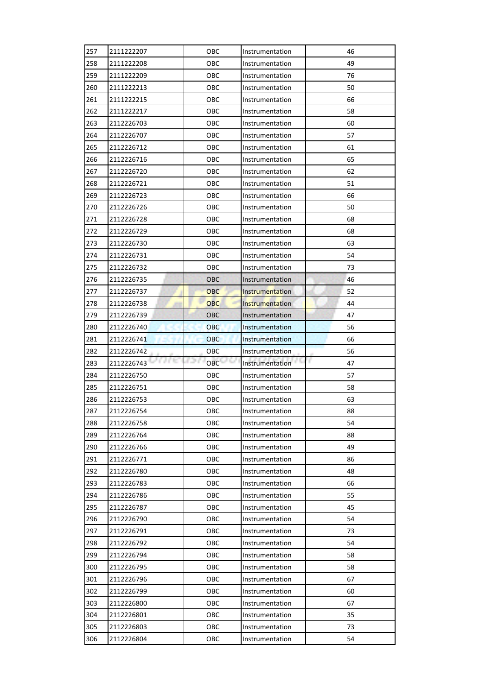| 257 | 2111222207 | ОВС        | Instrumentation        | 46       |
|-----|------------|------------|------------------------|----------|
| 258 | 2111222208 | ОВС        | Instrumentation        | 49       |
| 259 | 2111222209 | OBC        | Instrumentation        | 76       |
| 260 | 2111222213 | OBC        | Instrumentation        | 50       |
| 261 | 2111222215 | ОВС        | Instrumentation        | 66       |
| 262 | 2111222217 | OBC        | Instrumentation        | 58       |
| 263 | 2112226703 | OBC        | Instrumentation        | 60       |
| 264 | 2112226707 | ОВС        | Instrumentation        | 57       |
| 265 | 2112226712 | OBC        | Instrumentation        | 61       |
| 266 | 2112226716 | ОВС        | Instrumentation        | 65       |
| 267 | 2112226720 | OBC        | Instrumentation        | 62       |
| 268 | 2112226721 | ОВС        | Instrumentation        | 51       |
| 269 | 2112226723 | OBC        | Instrumentation        | 66       |
| 270 | 2112226726 | ОВС        | Instrumentation        | 50       |
| 271 | 2112226728 | ОВС        | Instrumentation        | 68       |
| 272 | 2112226729 | ОВС        | Instrumentation        | 68       |
| 273 | 2112226730 | ОВС        | Instrumentation        | 63       |
| 274 | 2112226731 | ОВС        | Instrumentation        | 54       |
| 275 | 2112226732 | ОВС        | Instrumentation        | 73       |
| 276 | 2112226735 | OBC        | Instrumentation        | 46       |
| 277 | 2112226737 | OBC        | <b>Instrumentation</b> | 52       |
| 278 | 2112226738 | <b>OBC</b> | Instrumentation        | 44       |
| 279 | 2112226739 | <b>OBC</b> | Instrumentation        | 47       |
| 280 | 2112226740 | <b>OBC</b> | Instrumentation        | 56       |
| 281 | 2112226741 | <b>OBC</b> | Instrumentation        | 66       |
|     |            |            |                        |          |
| 282 | 2112226742 | OBC        | Instrumentation        | 56       |
| 283 | 2112226743 | OBC        | Instrumentation        | r.<br>47 |
| 284 | 2112226750 | OBC        | Instrumentation        | 57       |
| 285 | 2112226751 | ОВС        | Instrumentation        | 58       |
| 286 | 2112226753 | OBC        | Instrumentation        | 63       |
| 287 | 2112226754 | ОВС        | Instrumentation        | 88       |
| 288 | 2112226758 | OBC        | Instrumentation        | 54       |
| 289 | 2112226764 | OBC        | Instrumentation        | 88       |
| 290 | 2112226766 | ОВС        | Instrumentation        | 49       |
| 291 | 2112226771 | OBC        | Instrumentation        | 86       |
| 292 | 2112226780 | OBC        | Instrumentation        | 48       |
| 293 | 2112226783 | OBC        | Instrumentation        | 66       |
| 294 | 2112226786 | OBC        | Instrumentation        | 55       |
| 295 | 2112226787 | OBC        | Instrumentation        | 45       |
| 296 | 2112226790 | OBC        | Instrumentation        | 54       |
| 297 | 2112226791 | OBC        | Instrumentation        | 73       |
| 298 | 2112226792 | OBC        | Instrumentation        | 54       |
| 299 | 2112226794 | OBC        | Instrumentation        | 58       |
| 300 | 2112226795 | OBC        | Instrumentation        | 58       |
| 301 | 2112226796 | OBC        | Instrumentation        | 67       |
| 302 | 2112226799 | OBC        | Instrumentation        | 60       |
| 303 | 2112226800 | OBC        | Instrumentation        | 67       |
| 304 | 2112226801 | OBC        | Instrumentation        | 35       |
| 305 | 2112226803 | OBC        | Instrumentation        | 73       |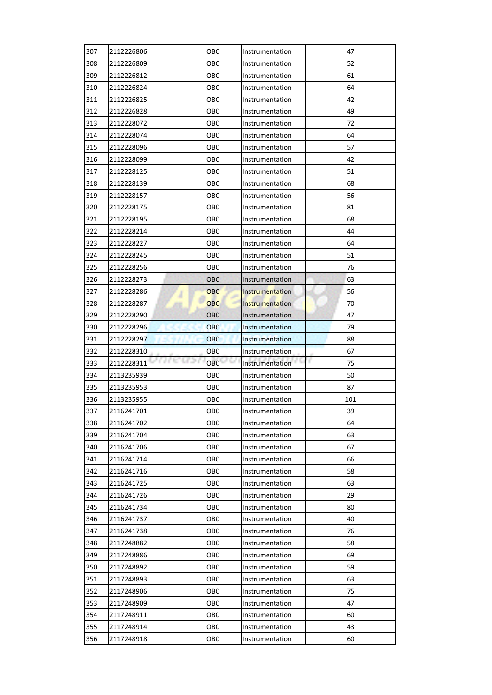| 307        | 2112226806               | OBC        | Instrumentation                    | 47       |
|------------|--------------------------|------------|------------------------------------|----------|
| 308        | 2112226809               | OBC        | Instrumentation                    | 52       |
| 309        | 2112226812               | OBC        | Instrumentation                    | 61       |
| 310        | 2112226824               | OBC        | Instrumentation                    | 64       |
| 311        | 2112226825               | OBC        | Instrumentation                    | 42       |
| 312        | 2112226828               | OBC        | Instrumentation                    | 49       |
| 313        | 2112228072               | OBC        | Instrumentation                    | 72       |
| 314        | 2112228074               | OBC        | Instrumentation                    | 64       |
| 315        | 2112228096               | OBC        | Instrumentation                    | 57       |
| 316        | 2112228099               | OBC        | Instrumentation                    | 42       |
| 317        | 2112228125               | OBC        | Instrumentation                    | 51       |
| 318        | 2112228139               | OBC        | Instrumentation                    | 68       |
| 319        | 2112228157               | OBC        | Instrumentation                    | 56       |
| 320        | 2112228175               | OBC        | Instrumentation                    | 81       |
| 321        | 2112228195               | OBC        | Instrumentation                    | 68       |
| 322        | 2112228214               | OBC        | Instrumentation                    | 44       |
| 323        | 2112228227               | OBC        | Instrumentation                    | 64       |
| 324        | 2112228245               | OBC        | Instrumentation                    | 51       |
| 325        | 2112228256               | OBC        | Instrumentation                    | 76       |
| 326        | 2112228273               | OBC        | Instrumentation                    | 63       |
| 327        | 2112228286               | OBC        | Instrumentation                    | 56       |
| 328        | 2112228287               | <b>OBC</b> | Instrumentation                    | 70       |
| 329        | 2112228290               | <b>OBC</b> | Instrumentation                    | 47       |
| 330        | 2112228296               | <b>OBC</b> | Instrumentation                    | 79       |
| 331        | 2112228297               | <b>OBC</b> | Instrumentation                    | 88       |
| 332        | 2112228310               | OBC        | Instrumentation                    | 67       |
| 333        | 2112228311               | 621<br>OBC | Instrumentation                    | r<br>75  |
| 334        | 2113235939               | OBC        | Instrumentation                    | 50       |
| 335        |                          | OBC        | Instrumentation                    | 87       |
|            | 2113235953               |            |                                    |          |
| 336        | 2113235955               | OBC        | Instrumentation                    | 101      |
| 337        | 2116241701               | OBC        | Instrumentation                    | 39       |
| 338        | 2116241702               | OBC        | Instrumentation                    | 64       |
| 339        | 2116241704               | OBC        | Instrumentation                    | 63       |
| 340        | 2116241706               | OBC        | Instrumentation                    | 67       |
| 341        | 2116241714               | OBC        | Instrumentation                    | 66       |
| 342        | 2116241716               | OBC        | Instrumentation                    | 58       |
| 343        | 2116241725               | OBC        | Instrumentation                    | 63       |
| 344        | 2116241726               | OBC        | Instrumentation                    | 29       |
| 345        | 2116241734               | OBC        | Instrumentation                    | 80       |
| 346        | 2116241737               | OBC        | Instrumentation                    | 40       |
| 347        | 2116241738               | OBC        | Instrumentation                    | 76       |
| 348        | 2117248882               | OBC        | Instrumentation                    | 58       |
| 349        | 2117248886               | OBC        | Instrumentation                    | 69       |
| 350        | 2117248892               | OBC        | Instrumentation                    | 59       |
| 351        | 2117248893               | OBC        | Instrumentation                    | 63       |
| 352        | 2117248906               | OBC        | Instrumentation                    | 75       |
| 353        | 2117248909               | OBC        | Instrumentation                    | 47       |
| 354        | 2117248911               | OBC        | Instrumentation                    | 60       |
| 355<br>356 | 2117248914<br>2117248918 | OBC<br>OBC | Instrumentation<br>Instrumentation | 43<br>60 |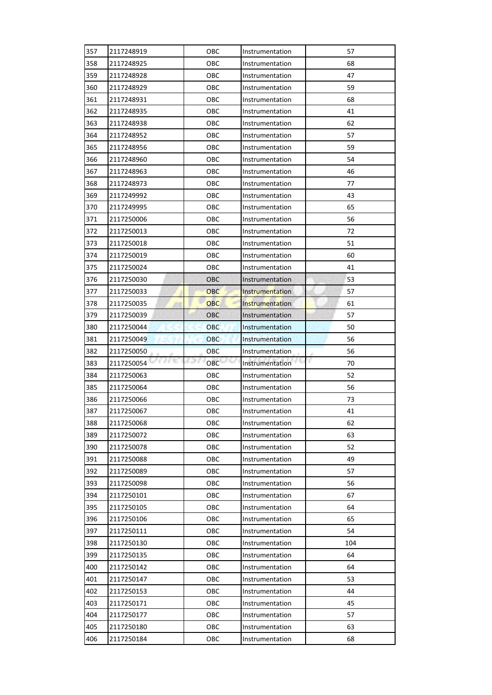| 357 | 2117248919         | ОВС           | Instrumentation        | 57       |
|-----|--------------------|---------------|------------------------|----------|
| 358 | 2117248925         | ОВС           | Instrumentation        | 68       |
| 359 | 2117248928         | OBC           | Instrumentation        | 47       |
| 360 | 2117248929         | OBC           | Instrumentation        | 59       |
| 361 | 2117248931         | ОВС           | Instrumentation        | 68       |
| 362 | 2117248935         | OBC           | Instrumentation        | 41       |
| 363 | 2117248938         | OBC           | Instrumentation        | 62       |
| 364 | 2117248952         | ОВС           | Instrumentation        | 57       |
| 365 | 2117248956         | ОВС           | Instrumentation        | 59       |
| 366 | 2117248960         | ОВС           | Instrumentation        | 54       |
| 367 | 2117248963         | OBC           | Instrumentation        | 46       |
| 368 | 2117248973         | ОВС           | Instrumentation        | 77       |
| 369 | 2117249992         | OBC           | Instrumentation        | 43       |
| 370 | 2117249995         | ОВС           | Instrumentation        | 65       |
| 371 | 2117250006         | ОВС           | Instrumentation        | 56       |
| 372 | 2117250013         | OBC           | Instrumentation        | 72       |
| 373 | 2117250018         | ОВС           | Instrumentation        | 51       |
| 374 | 2117250019         | ОВС           | Instrumentation        | 60       |
| 375 | 2117250024         | ОВС           | Instrumentation        | 41       |
| 376 | 2117250030         | OBC           | Instrumentation        | 53       |
| 377 | 2117250033         | OBC           | <b>Instrumentation</b> | 57       |
| 378 | 2117250035         | <b>OBC</b>    | Instrumentation        | 61       |
| 379 | 2117250039         | <b>OBC</b>    | Instrumentation        | 57       |
| 380 | 2117250044         | <b>OBC</b>    | Instrumentation        | 50       |
| 381 | 2117250049         | <b>OBC</b>    | Instrumentation        | 56       |
|     |                    |               |                        |          |
| 382 | 2117250050         | OBC           | Instrumentation        | 56       |
| 383 | a nu<br>2117250054 | P. Tor<br>OBC | Instrumentation        | r.<br>70 |
| 384 | 2117250063         | OBC           | Instrumentation        | 52       |
| 385 | 2117250064         | OBC           | Instrumentation        | 56       |
| 386 | 2117250066         | OBC           | Instrumentation        | 73       |
| 387 | 2117250067         | ОВС           | Instrumentation        | 41       |
| 388 | 2117250068         | OBC           | Instrumentation        | 62       |
| 389 | 2117250072         | OBC           | Instrumentation        | 63       |
| 390 | 2117250078         | ОВС           | Instrumentation        | 52       |
| 391 | 2117250088         | OBC           | Instrumentation        | 49       |
| 392 | 2117250089         | OBC           | Instrumentation        | 57       |
| 393 | 2117250098         | OBC           | Instrumentation        | 56       |
| 394 | 2117250101         | OBC           | Instrumentation        | 67       |
| 395 | 2117250105         | OBC           | Instrumentation        | 64       |
| 396 | 2117250106         | OBC           | Instrumentation        | 65       |
| 397 | 2117250111         | OBC           | Instrumentation        | 54       |
| 398 | 2117250130         | OBC           | Instrumentation        | 104      |
| 399 | 2117250135         | OBC           | Instrumentation        | 64       |
| 400 | 2117250142         | OBC           | Instrumentation        | 64       |
| 401 | 2117250147         | OBC           | Instrumentation        | 53       |
| 402 | 2117250153         | OBC           | Instrumentation        | 44       |
| 403 | 2117250171         | OBC           | Instrumentation        | 45       |
| 404 | 2117250177         | OBC           | Instrumentation        | 57       |
| 405 | 2117250180         | OBC           | Instrumentation        | 63       |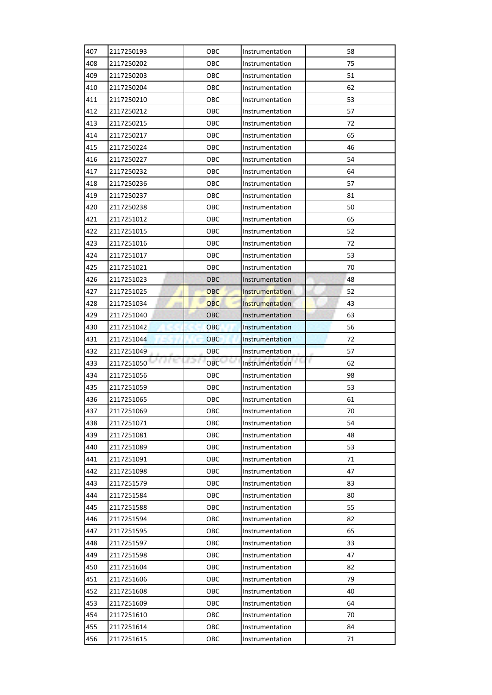| 407 | 2117250193 | OBC          | Instrumentation | 58      |
|-----|------------|--------------|-----------------|---------|
| 408 | 2117250202 | OBC          | Instrumentation | 75      |
| 409 | 2117250203 | OBC          | Instrumentation | 51      |
| 410 | 2117250204 | OBC          | Instrumentation | 62      |
| 411 | 2117250210 | OBC          | Instrumentation | 53      |
| 412 | 2117250212 | OBC          | Instrumentation | 57      |
| 413 | 2117250215 | OBC          | Instrumentation | 72      |
| 414 | 2117250217 | OBC          | Instrumentation | 65      |
| 415 | 2117250224 | OBC          | Instrumentation | 46      |
| 416 | 2117250227 | OBC          | Instrumentation | 54      |
| 417 | 2117250232 | OBC          | Instrumentation | 64      |
| 418 | 2117250236 | OBC          | Instrumentation | 57      |
| 419 | 2117250237 | OBC          | Instrumentation | 81      |
| 420 | 2117250238 | OBC          | Instrumentation | 50      |
| 421 | 2117251012 | OBC          | Instrumentation | 65      |
| 422 | 2117251015 | OBC          | Instrumentation | 52      |
| 423 | 2117251016 | OBC          | Instrumentation | 72      |
| 424 | 2117251017 | OBC          | Instrumentation | 53      |
| 425 | 2117251021 | OBC          | Instrumentation | 70      |
| 426 | 2117251023 | <b>OBC</b>   | Instrumentation | 48      |
| 427 | 2117251025 | OBC          | Instrumentation | 52      |
| 428 | 2117251034 | OBC          | Instrumentation | 43      |
| 429 | 2117251040 | <b>OBC</b>   | Instrumentation | 63      |
| 430 | 2117251042 | <b>OBC</b>   | Instrumentation | 56      |
| 431 | 2117251044 | OBC          | Instrumentation | 72      |
| 432 | 2117251049 | OBC          | Instrumentation | 57      |
|     |            |              |                 |         |
| 433 | 2117251050 | s x s<br>OBC | Instrumentation | r<br>62 |
| 434 | 2117251056 | OBC          | Instrumentation | 98      |
| 435 | 2117251059 | OBC          | Instrumentation | 53      |
| 436 | 2117251065 | OBC          | Instrumentation | 61      |
| 437 | 2117251069 | OBC          | Instrumentation | 70      |
| 438 | 2117251071 | OBC          | Instrumentation | 54      |
| 439 | 2117251081 | OBC          | Instrumentation | 48      |
| 440 | 2117251089 | OBC          | Instrumentation | 53      |
| 441 | 2117251091 | OBC          | Instrumentation | 71      |
| 442 | 2117251098 | OBC          | Instrumentation | 47      |
| 443 | 2117251579 | OBC          | Instrumentation | 83      |
| 444 | 2117251584 | OBC          | Instrumentation | 80      |
| 445 | 2117251588 | OBC          | Instrumentation | 55      |
| 446 | 2117251594 | OBC          | Instrumentation | 82      |
| 447 | 2117251595 | OBC          | Instrumentation | 65      |
| 448 | 2117251597 | OBC          | Instrumentation | 33      |
| 449 | 2117251598 | OBC          | Instrumentation | 47      |
| 450 | 2117251604 | OBC          | Instrumentation | 82      |
| 451 | 2117251606 | OBC          | Instrumentation | 79      |
| 452 | 2117251608 | OBC          | Instrumentation | 40      |
| 453 | 2117251609 | OBC          | Instrumentation | 64      |
| 454 | 2117251610 | OBC          | Instrumentation | 70      |
| 455 | 2117251614 | OBC          | Instrumentation | 84      |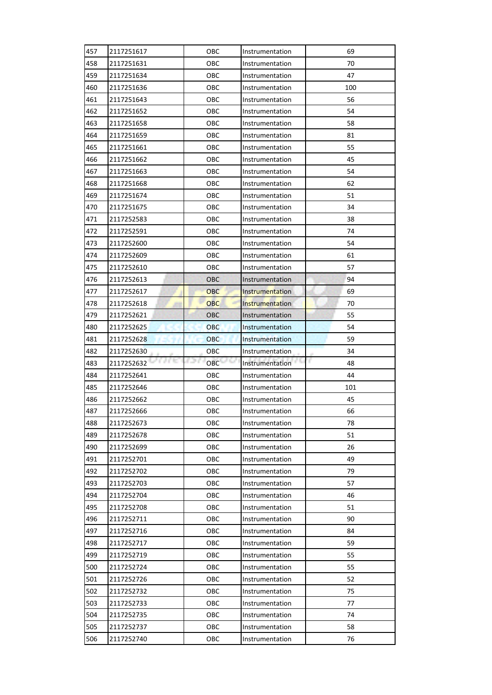| 457        | 2117251617           | ОВС           | Instrumentation        | 69       |
|------------|----------------------|---------------|------------------------|----------|
| 458        | 2117251631           | ОВС           | Instrumentation        | 70       |
| 459        | 2117251634           | OBC           | Instrumentation        | 47       |
| 460        | 2117251636           | OBC           | Instrumentation        | 100      |
| 461        | 2117251643           | ОВС           | Instrumentation        | 56       |
| 462        | 2117251652           | OBC           | Instrumentation        | 54       |
| 463        | 2117251658           | OBC           | Instrumentation        | 58       |
| 464        | 2117251659           | ОВС           | Instrumentation        | 81       |
| 465        | 2117251661           | ОВС           | Instrumentation        | 55       |
| 466        | 2117251662           | ОВС           | Instrumentation        | 45       |
| 467        | 2117251663           | OBC           | Instrumentation        | 54       |
| 468        | 2117251668           | ОВС           | Instrumentation        | 62       |
| 469        | 2117251674           | OBC           | Instrumentation        | 51       |
| 470        | 2117251675           | ОВС           | Instrumentation        | 34       |
| 471        | 2117252583           | ОВС           | Instrumentation        | 38       |
| 472        | 2117252591           | OBC           | Instrumentation        | 74       |
| 473        | 2117252600           | ОВС           | Instrumentation        | 54       |
| 474        | 2117252609           | ОВС           | Instrumentation        | 61       |
| 475        | 2117252610           | ОВС           | Instrumentation        | 57       |
| 476        | 2117252613           | OBC           | Instrumentation        | 94       |
| 477        | 2117252617           | OBC           | <b>Instrumentation</b> | 69       |
| 478        | 2117252618           | <b>OBC</b>    | Instrumentation        | 70       |
| 479        | 2117252621           | <b>OBC</b>    | Instrumentation        | 55       |
| 480        | 2117252625           | <b>OBC</b>    | Instrumentation        | 54       |
| 481        | 2117252628           | <b>OBC</b>    | Instrumentation        | 59       |
|            |                      |               |                        |          |
| 482        | 2117252630           | OBC           | Instrumentation        | 34       |
| 483        | a e to<br>2117252632 | P. Tor<br>OBC | Instrumentation        | r.<br>48 |
| 484        | 2117252641           | OBC           | Instrumentation        | 44       |
| 485        | 2117252646           | ОВС           | Instrumentation        | 101      |
| 486        | 2117252662           | OBC           | Instrumentation        | 45       |
| 487        | 2117252666           | ОВС           | Instrumentation        | 66       |
| 488        | 2117252673           | OBC           | Instrumentation        | 78       |
| 489        | 2117252678           | OBC           | Instrumentation        | 51       |
| 490        | 2117252699           | ОВС           | Instrumentation        | 26       |
| 491        | 2117252701           | OBC           | Instrumentation        | 49       |
| 492        | 2117252702           | OBC           | Instrumentation        | 79       |
| 493        | 2117252703           | OBC           | Instrumentation        | 57       |
| 494        | 2117252704           | OBC           | Instrumentation        | 46       |
| 495        | 2117252708           | OBC           | Instrumentation        | 51       |
| 496        | 2117252711           | OBC           | Instrumentation        | 90       |
| 497        | 2117252716           | OBC           | Instrumentation        | 84       |
| 498        | 2117252717           | OBC           | Instrumentation        | 59       |
| 499        | 2117252719           | OBC           | Instrumentation        | 55       |
| 500        | 2117252724           | OBC           | Instrumentation        | 55       |
| 501        | 2117252726           | OBC           | Instrumentation        | 52       |
| 502        | 2117252732           | OBC           | Instrumentation        | 75       |
| 503        | 2117252733           | OBC           | Instrumentation        | 77       |
| 504        | 2117252735           | OBC           | Instrumentation        | 74       |
| 505<br>506 | 2117252737           | OBC<br>OBC    | Instrumentation        | 58       |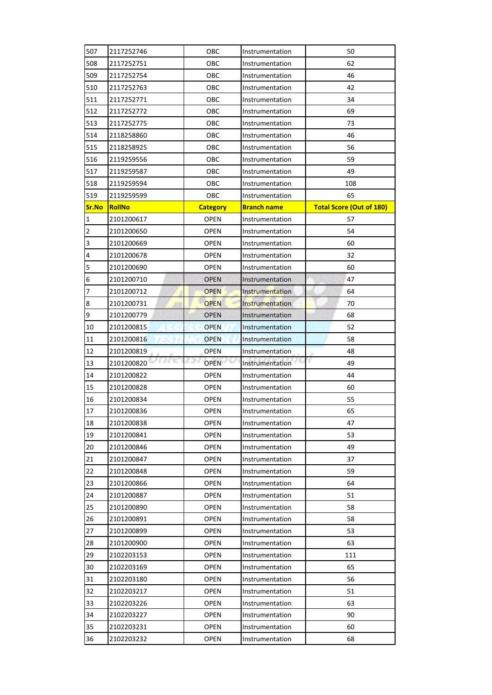| 507                     | 2117252746         | OBC             | Instrumentation        | 50                              |
|-------------------------|--------------------|-----------------|------------------------|---------------------------------|
| 508                     | 2117252751         | OBC             | Instrumentation        | 62                              |
| 509                     | 2117252754         | ОВС             | Instrumentation        | 46                              |
| 510                     | 2117252763         | OBC             | Instrumentation        | 42                              |
| 511                     | 2117252771         | OBC             | Instrumentation        | 34                              |
| 512                     | 2117252772         | OBC             | Instrumentation        | 69                              |
| 513                     | 2117252775         | OBC             | Instrumentation        | 73                              |
| 514                     | 2118258860         | OBC             | Instrumentation        | 46                              |
| 515                     | 2118258925         | ОВС             | Instrumentation        | 56                              |
| 516                     | 2119259556         | OBC             | Instrumentation        | 59                              |
| 517                     | 2119259587         | OBC             | Instrumentation        | 49                              |
| 518                     | 2119259594         | OBC             | Instrumentation        | 108                             |
| 519                     | 2119259599         | OBC             | Instrumentation        | 65                              |
| Sr.No                   | <b>RollNo</b>      | <b>Category</b> | <b>Branch name</b>     | <b>Total Score (Out of 180)</b> |
| $\mathbf{1}$            | 2101200617         | <b>OPEN</b>     | Instrumentation        | 57                              |
| $\overline{2}$          | 2101200650         | <b>OPEN</b>     | Instrumentation        | 54                              |
| $\overline{\mathbf{3}}$ | 2101200669         | <b>OPEN</b>     | Instrumentation        | 60                              |
| 4                       | 2101200678         | <b>OPEN</b>     | Instrumentation        | 32                              |
| 5                       | 2101200690         | <b>OPEN</b>     | Instrumentation        | 60                              |
| 6                       | 2101200710         | <b>OPEN</b>     | Instrumentation        | 47                              |
| 7                       | 2101200712         | <b>OPEN</b>     | <b>Instrumentation</b> | 64                              |
| $\bf 8$                 | 2101200731         | <b>OPEN</b>     | Instrumentation        | 70                              |
| 9                       | 2101200779         | <b>OPEN</b>     | Instrumentation        | 68                              |
| 10                      | 2101200815         | <b>OPEN</b>     | Instrumentation        | 52                              |
| 11                      | 2101200816         | <b>OPEN</b>     | Instrumentation        | 58                              |
| 12                      | 2101200819         | <b>OPEN</b>     | Instrumentation        | 48                              |
| 13                      | a ne<br>2101200820 | <b>OPEN</b>     | Instrumentation        | r<br>49                         |
| 14                      | 2101200822         | <b>OPEN</b>     | Instrumentation        | 44                              |
| 15                      | 2101200828         | <b>OPEN</b>     | Instrumentation        | 60                              |
| 16                      | 2101200834         | <b>OPEN</b>     | Instrumentation        | 55                              |
| 17                      | 2101200836         | <b>OPEN</b>     | Instrumentation        | 65                              |
| 18                      | 2101200838         | <b>OPEN</b>     | Instrumentation        | 47                              |
| 19                      | 2101200841         | <b>OPEN</b>     | Instrumentation        | 53                              |
| $20\,$                  | 2101200846         | <b>OPEN</b>     | Instrumentation        | 49                              |
| 21                      | 2101200847         | OPEN            | Instrumentation        | 37                              |
| 22                      | 2101200848         | <b>OPEN</b>     | Instrumentation        | 59                              |
| 23                      | 2101200866         | <b>OPEN</b>     | Instrumentation        | 64                              |
| 24                      | 2101200887         | <b>OPEN</b>     | Instrumentation        | 51                              |
| 25                      | 2101200890         | <b>OPEN</b>     | Instrumentation        | 58                              |
| 26                      | 2101200891         | <b>OPEN</b>     | Instrumentation        | 58                              |
| 27                      | 2101200899         | <b>OPEN</b>     | Instrumentation        | 53                              |
| 28                      | 2101200900         | OPEN            | Instrumentation        | 63                              |
| 29                      | 2102203153         | <b>OPEN</b>     | Instrumentation        | 111                             |
| 30                      | 2102203169         | <b>OPEN</b>     | Instrumentation        | 65                              |
| 31                      | 2102203180         | <b>OPEN</b>     | Instrumentation        | 56                              |
| 32                      | 2102203217         | <b>OPEN</b>     | Instrumentation        | 51                              |
| 33                      | 2102203226         | <b>OPEN</b>     | Instrumentation        | 63                              |
| 34                      | 2102203227         | <b>OPEN</b>     | Instrumentation        | 90                              |
| 35                      | 2102203231         | OPEN            | Instrumentation        | 60                              |
| 36                      | 2102203232         | <b>OPEN</b>     | Instrumentation        | 68                              |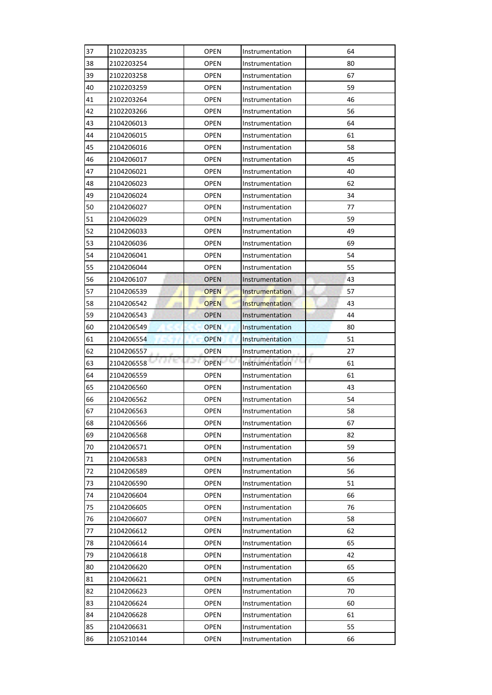| 37 | 2102203235        | <b>OPEN</b> | Instrumentation        | 64      |
|----|-------------------|-------------|------------------------|---------|
| 38 | 2102203254        | <b>OPEN</b> | Instrumentation        | 80      |
| 39 | 2102203258        | <b>OPEN</b> | Instrumentation        | 67      |
| 40 | 2102203259        | <b>OPEN</b> | Instrumentation        | 59      |
| 41 | 2102203264        | <b>OPEN</b> | Instrumentation        | 46      |
| 42 | 2102203266        | <b>OPEN</b> | Instrumentation        | 56      |
| 43 | 2104206013        | <b>OPEN</b> | Instrumentation        | 64      |
| 44 | 2104206015        | <b>OPEN</b> | Instrumentation        | 61      |
| 45 | 2104206016        | <b>OPEN</b> | Instrumentation        | 58      |
| 46 | 2104206017        | <b>OPEN</b> | Instrumentation        | 45      |
| 47 | 2104206021        | <b>OPEN</b> | Instrumentation        | 40      |
| 48 | 2104206023        | <b>OPEN</b> | Instrumentation        | 62      |
| 49 | 2104206024        | <b>OPEN</b> | Instrumentation        | 34      |
| 50 | 2104206027        | <b>OPEN</b> | Instrumentation        | 77      |
| 51 | 2104206029        | <b>OPEN</b> | Instrumentation        | 59      |
| 52 | 2104206033        | <b>OPEN</b> | Instrumentation        | 49      |
| 53 | 2104206036        | <b>OPEN</b> | Instrumentation        | 69      |
| 54 | 2104206041        | <b>OPEN</b> | Instrumentation        | 54      |
| 55 | 2104206044        | <b>OPEN</b> | Instrumentation        | 55      |
| 56 | 2104206107        | <b>OPEN</b> | Instrumentation        | 43      |
| 57 | 2104206539        | <b>OPEN</b> | <b>Instrumentation</b> | 57      |
| 58 | 2104206542        | <b>OPEN</b> | Instrumentation        | 43      |
| 59 | 2104206543        | <b>OPEN</b> | Instrumentation        | 44      |
| 60 | 2104206549        | <b>OPEN</b> | Instrumentation        | 80      |
| 61 | 2104206554        | <b>OPEN</b> | Instrumentation        | 51      |
|    |                   |             |                        |         |
| 62 | 2104206557        | <b>OPEN</b> | Instrumentation        | 27      |
| 63 | ЛC.<br>2104206558 | <b>OPEN</b> | Instrumentation        | r<br>61 |
| 64 | 2104206559        | <b>OPEN</b> | Instrumentation        | 61      |
| 65 | 2104206560        | <b>OPEN</b> | Instrumentation        | 43      |
| 66 | 2104206562        | <b>OPEN</b> | Instrumentation        | 54      |
| 67 | 2104206563        | <b>OPEN</b> | Instrumentation        | 58      |
| 68 | 2104206566        | <b>OPEN</b> | Instrumentation        | 67      |
| 69 | 2104206568        | <b>OPEN</b> | Instrumentation        | 82      |
| 70 | 2104206571        | <b>OPEN</b> | Instrumentation        | 59      |
| 71 | 2104206583        | <b>OPEN</b> | Instrumentation        | 56      |
| 72 | 2104206589        | <b>OPEN</b> | Instrumentation        | 56      |
| 73 | 2104206590        | <b>OPEN</b> | Instrumentation        | 51      |
| 74 | 2104206604        | <b>OPEN</b> | Instrumentation        | 66      |
| 75 | 2104206605        | <b>OPEN</b> | Instrumentation        | 76      |
| 76 | 2104206607        | <b>OPEN</b> | Instrumentation        | 58      |
| 77 | 2104206612        | <b>OPEN</b> | Instrumentation        | 62      |
| 78 | 2104206614        | <b>OPEN</b> | Instrumentation        | 65      |
| 79 | 2104206618        | <b>OPEN</b> | Instrumentation        | 42      |
| 80 | 2104206620        | <b>OPEN</b> | Instrumentation        | 65      |
| 81 | 2104206621        | <b>OPEN</b> | Instrumentation        | 65      |
| 82 | 2104206623        | <b>OPEN</b> | Instrumentation        | 70      |
| 83 | 2104206624        | <b>OPEN</b> | Instrumentation        | 60      |
| 84 | 2104206628        | <b>OPEN</b> | Instrumentation        | 61      |
| 85 | 2104206631        | OPEN        | Instrumentation        | 55      |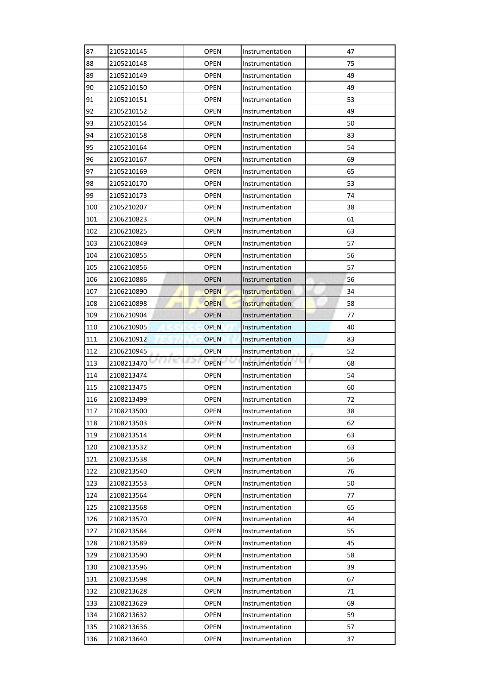| 87  | 2105210145           | <b>OPEN</b> | Instrumentation        | 47       |
|-----|----------------------|-------------|------------------------|----------|
| 88  | 2105210148           | <b>OPEN</b> | Instrumentation        | 75       |
| 89  | 2105210149           | <b>OPEN</b> | Instrumentation        | 49       |
| 90  | 2105210150           | <b>OPEN</b> | Instrumentation        | 49       |
| 91  | 2105210151           | <b>OPEN</b> | Instrumentation        | 53       |
| 92  | 2105210152           | <b>OPEN</b> | Instrumentation        | 49       |
| 93  | 2105210154           | OPEN        | Instrumentation        | 50       |
| 94  | 2105210158           | <b>OPEN</b> | Instrumentation        | 83       |
| 95  | 2105210164           | <b>OPEN</b> | Instrumentation        | 54       |
| 96  | 2105210167           | <b>OPEN</b> | Instrumentation        | 69       |
| 97  | 2105210169           | <b>OPEN</b> | Instrumentation        | 65       |
| 98  | 2105210170           | <b>OPEN</b> | Instrumentation        | 53       |
| 99  | 2105210173           | <b>OPEN</b> | Instrumentation        | 74       |
| 100 | 2105210207           | <b>OPEN</b> | Instrumentation        | 38       |
| 101 | 2106210823           | <b>OPEN</b> | Instrumentation        | 61       |
| 102 | 2106210825           | <b>OPEN</b> | Instrumentation        | 63       |
| 103 | 2106210849           | <b>OPEN</b> | Instrumentation        | 57       |
| 104 | 2106210855           | <b>OPEN</b> | Instrumentation        | 56       |
| 105 | 2106210856           | <b>OPEN</b> | Instrumentation        | 57       |
| 106 | 2106210886           | <b>OPEN</b> | Instrumentation        | 56       |
| 107 | 2106210890           | <b>OPEN</b> | <b>Instrumentation</b> | 34       |
| 108 | 2106210898           | <b>OPEN</b> | Instrumentation        | 58       |
| 109 | 2106210904           | <b>OPEN</b> | Instrumentation        | 77       |
| 110 | 2106210905           | <b>OPEN</b> | Instrumentation        | 40       |
| 111 | 2106210912           | <b>OPEN</b> | Instrumentation        | 83       |
|     |                      |             |                        |          |
| 112 | 2106210945           | <b>OPEN</b> | Instrumentation        | 52       |
| 113 | a e to<br>2108213470 | <b>OPEN</b> | Instrumentation        | r.<br>68 |
| 114 | 2108213474           | <b>OPEN</b> | Instrumentation        | 54       |
| 115 | 2108213475           | <b>OPEN</b> | Instrumentation        | 60       |
| 116 | 2108213499           | <b>OPEN</b> | Instrumentation        | 72       |
| 117 | 2108213500           | <b>OPEN</b> | Instrumentation        | 38       |
| 118 | 2108213503           | <b>OPEN</b> | Instrumentation        | 62       |
| 119 | 2108213514           | <b>OPEN</b> | Instrumentation        | 63       |
| 120 | 2108213532           | <b>OPEN</b> | Instrumentation        | 63       |
| 121 | 2108213538           | <b>OPEN</b> | Instrumentation        | 56       |
| 122 | 2108213540           | <b>OPEN</b> | Instrumentation        | 76       |
| 123 | 2108213553           | <b>OPEN</b> | Instrumentation        | 50       |
| 124 | 2108213564           | <b>OPEN</b> | Instrumentation        | 77       |
| 125 | 2108213568           | <b>OPEN</b> | Instrumentation        | 65       |
| 126 | 2108213570           | <b>OPEN</b> | Instrumentation        | 44       |
| 127 | 2108213584           | <b>OPEN</b> | Instrumentation        | 55       |
| 128 | 2108213589           | <b>OPEN</b> | Instrumentation        | 45       |
| 129 | 2108213590           | <b>OPEN</b> | Instrumentation        | 58       |
| 130 | 2108213596           | <b>OPEN</b> | Instrumentation        | 39       |
| 131 | 2108213598           | <b>OPEN</b> | Instrumentation        | 67       |
| 132 | 2108213628           | <b>OPEN</b> | Instrumentation        | 71       |
| 133 | 2108213629           | <b>OPEN</b> | Instrumentation        | 69       |
| 134 | 2108213632           | <b>OPEN</b> | Instrumentation        | 59       |
| 135 | 2108213636           | OPEN        | Instrumentation        | 57       |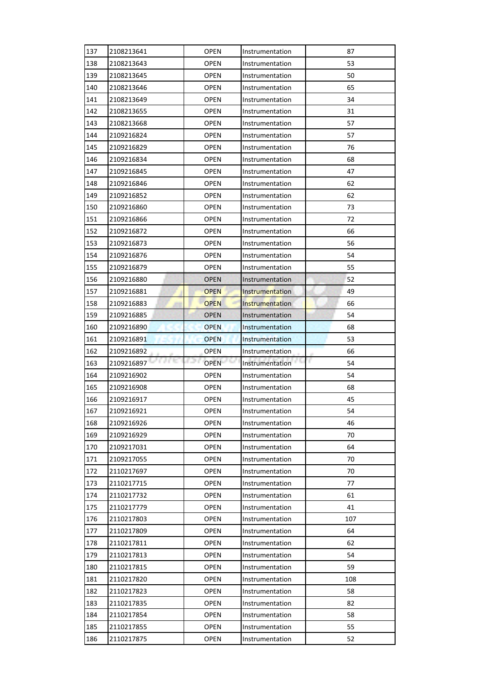| 137 | 2108213641           | <b>OPEN</b>        | Instrumentation | 87      |
|-----|----------------------|--------------------|-----------------|---------|
| 138 | 2108213643           | <b>OPEN</b>        | Instrumentation | 53      |
| 139 | 2108213645           | <b>OPEN</b>        | Instrumentation | 50      |
| 140 | 2108213646           | <b>OPEN</b>        | Instrumentation | 65      |
| 141 | 2108213649           | OPEN               | Instrumentation | 34      |
| 142 | 2108213655           | OPEN               | Instrumentation | 31      |
| 143 | 2108213668           | <b>OPEN</b>        | Instrumentation | 57      |
| 144 | 2109216824           | OPEN               | Instrumentation | 57      |
| 145 | 2109216829           | <b>OPEN</b>        | Instrumentation | 76      |
| 146 | 2109216834           | <b>OPEN</b>        | Instrumentation | 68      |
| 147 | 2109216845           | <b>OPEN</b>        | Instrumentation | 47      |
| 148 | 2109216846           | OPEN               | Instrumentation | 62      |
| 149 | 2109216852           | <b>OPEN</b>        | Instrumentation | 62      |
| 150 | 2109216860           | OPEN               | Instrumentation | 73      |
| 151 | 2109216866           | OPEN               | Instrumentation | 72      |
| 152 | 2109216872           | <b>OPEN</b>        | Instrumentation | 66      |
| 153 | 2109216873           | <b>OPEN</b>        | Instrumentation | 56      |
| 154 | 2109216876           | <b>OPEN</b>        | Instrumentation | 54      |
| 155 | 2109216879           | OPEN               | Instrumentation | 55      |
| 156 | 2109216880           | <b>OPEN</b>        | Instrumentation | 52      |
| 157 | 2109216881           | <b>OPEN</b>        | Instrumentation | 49      |
| 158 | 2109216883           | <b>OPEN</b>        | Instrumentation | 66      |
| 159 | 2109216885           | <b>OPEN</b>        | Instrumentation | 54      |
| 160 | 2109216890           | <b>OPEN</b>        | Instrumentation | 68      |
| 161 | 2109216891           | <b>OPEN</b>        | Instrumentation | 53      |
| 162 | 2109216892           | <b>OPEN</b>        | Instrumentation | 66      |
| 163 | a e to<br>2109216897 | 821<br><b>OPEN</b> | Instrumentation | r<br>54 |
| 164 | 2109216902           | <b>OPEN</b>        | Instrumentation | 54      |
| 165 | 2109216908           | <b>OPEN</b>        | Instrumentation | 68      |
| 166 | 2109216917           | <b>OPEN</b>        | Instrumentation | 45      |
| 167 | 2109216921           | <b>OPEN</b>        | Instrumentation | 54      |
| 168 |                      |                    |                 |         |
|     | 2109216926           | <b>OPEN</b>        | Instrumentation | 46      |
| 169 | 2109216929           | <b>OPEN</b>        | Instrumentation | 70      |
| 170 | 2109217031           | <b>OPEN</b>        | Instrumentation | 64      |
| 171 | 2109217055           | OPEN               | Instrumentation | 70      |
| 172 | 2110217697           | <b>OPEN</b>        | Instrumentation | 70      |
| 173 | 2110217715           | <b>OPEN</b>        | Instrumentation | 77      |
| 174 | 2110217732           | <b>OPEN</b>        | Instrumentation | 61      |
| 175 | 2110217779           | <b>OPEN</b>        | Instrumentation | 41      |
| 176 | 2110217803           | <b>OPEN</b>        | Instrumentation | 107     |
| 177 | 2110217809           | <b>OPEN</b>        | Instrumentation | 64      |
| 178 | 2110217811           | OPEN               | Instrumentation | 62      |
| 179 | 2110217813           | OPEN               | Instrumentation | 54      |
| 180 | 2110217815           | <b>OPEN</b>        | Instrumentation | 59      |
| 181 | 2110217820           | <b>OPEN</b>        | Instrumentation | 108     |
| 182 | 2110217823           | <b>OPEN</b>        | Instrumentation | 58      |
| 183 | 2110217835           | <b>OPEN</b>        | Instrumentation | 82      |
| 184 | 2110217854           | <b>OPEN</b>        | Instrumentation | 58      |
| 185 | 2110217855           | <b>OPEN</b>        | Instrumentation | 55      |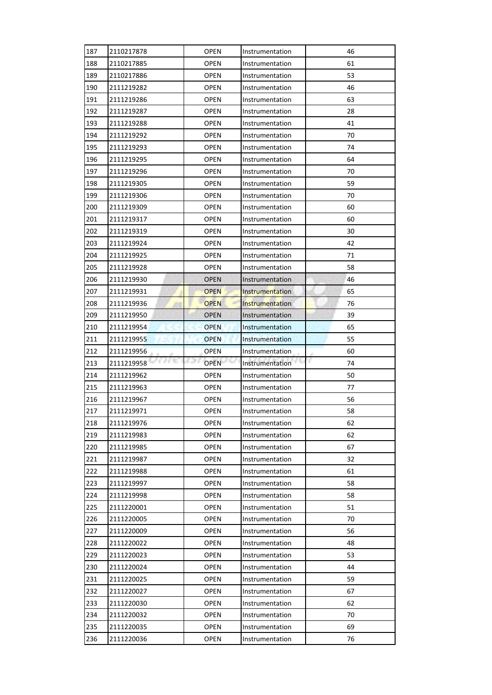| 187        | 2110217878        | <b>OPEN</b> | Instrumentation | 46      |
|------------|-------------------|-------------|-----------------|---------|
| 188        | 2110217885        | <b>OPEN</b> | Instrumentation | 61      |
| 189        | 2110217886        | OPEN        | Instrumentation | 53      |
| 190        | 2111219282        | <b>OPEN</b> | Instrumentation | 46      |
| 191        | 2111219286        | <b>OPEN</b> | Instrumentation | 63      |
| 192        | 2111219287        | <b>OPEN</b> | Instrumentation | 28      |
| 193        | 2111219288        | OPEN        | Instrumentation | 41      |
| 194        | 2111219292        | <b>OPEN</b> | Instrumentation | 70      |
| 195        | 2111219293        | OPEN        | Instrumentation | 74      |
| 196        | 2111219295        | OPEN        | Instrumentation | 64      |
| 197        | 2111219296        | <b>OPEN</b> | Instrumentation | 70      |
| 198        | 2111219305        | <b>OPEN</b> | Instrumentation | 59      |
| 199        | 2111219306        | <b>OPEN</b> | Instrumentation | 70      |
| 200        | 2111219309        | <b>OPEN</b> | Instrumentation | 60      |
| 201        | 2111219317        | <b>OPEN</b> | Instrumentation | 60      |
| 202        | 2111219319        | <b>OPEN</b> | Instrumentation | 30      |
| 203        | 2111219924        | <b>OPEN</b> | Instrumentation | 42      |
| 204        | 2111219925        | <b>OPEN</b> | Instrumentation | 71      |
| 205        | 2111219928        | OPEN        | Instrumentation | 58      |
| 206        | 2111219930        | <b>OPEN</b> | Instrumentation | 46      |
| 207        | 2111219931        | <b>OPEN</b> | Instrumentation | 65      |
| 208        | 2111219936        | <b>OPEN</b> | Instrumentation | 76      |
| 209        | 2111219950        | <b>OPEN</b> | Instrumentation | 39      |
| 210        | 2111219954        | <b>OPEN</b> | Instrumentation | 65      |
| 211        | 2111219955        | <b>OPEN</b> | Instrumentation | 55      |
| 212        | 2111219956        | <b>OPEN</b> | Instrumentation | 60      |
| 213        | 人名地<br>2111219958 | <b>OPEN</b> | Instrumentation | r<br>74 |
| 214        | 2111219962        | OPEN        | Instrumentation | 50      |
|            |                   |             |                 |         |
| 215        | 2111219963        | OPEN        | Instrumentation | 77      |
| 216        | 2111219967        | <b>OPEN</b> | Instrumentation | 56      |
| 217        | 2111219971        | <b>OPEN</b> | Instrumentation | 58      |
| 218        | 2111219976        | <b>OPEN</b> | Instrumentation | 62      |
| 219        | 2111219983        | <b>OPEN</b> | Instrumentation | 62      |
| 220        | 2111219985        | <b>OPEN</b> | Instrumentation | 67      |
| 221        | 2111219987        | OPEN        | Instrumentation | 32      |
| 222        | 2111219988        | <b>OPEN</b> | Instrumentation | 61      |
| 223        | 2111219997        | <b>OPEN</b> | Instrumentation | 58      |
| 224        | 2111219998        | <b>OPEN</b> | Instrumentation | 58      |
| 225        | 2111220001        | <b>OPEN</b> | Instrumentation | 51      |
| 226        | 2111220005        | <b>OPEN</b> | Instrumentation | 70      |
| 227        | 2111220009        | <b>OPEN</b> | Instrumentation | 56      |
| 228        | 2111220022        | OPEN        | Instrumentation | 48      |
| 229        | 2111220023        | <b>OPEN</b> | Instrumentation | 53      |
| 230        | 2111220024        | <b>OPEN</b> | Instrumentation | 44      |
| 231        | 2111220025        | <b>OPEN</b> | Instrumentation | 59      |
| 232        | 2111220027        | <b>OPEN</b> | Instrumentation | 67      |
| 233        | 2111220030        | <b>OPEN</b> | Instrumentation | 62      |
| 234        | 2111220032        | <b>OPEN</b> | Instrumentation | 70      |
| 235<br>236 | 2111220035        | OPEN        | Instrumentation | 69      |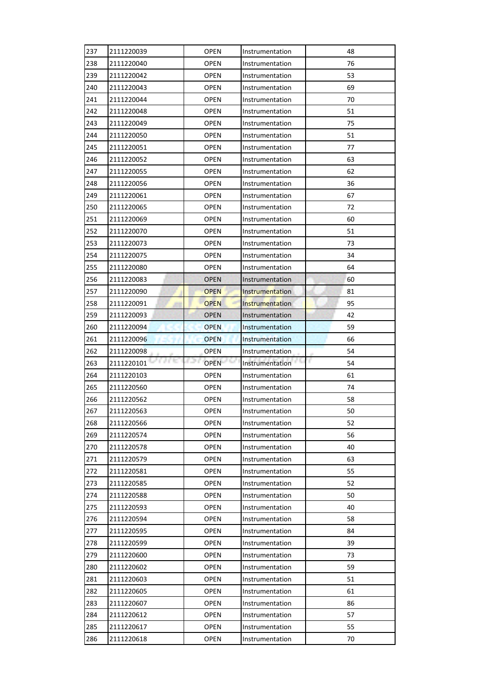| 237 | 2111220039         | <b>OPEN</b> | Instrumentation        | 48       |
|-----|--------------------|-------------|------------------------|----------|
| 238 | 2111220040         | <b>OPEN</b> | Instrumentation        | 76       |
| 239 | 2111220042         | <b>OPEN</b> | Instrumentation        | 53       |
| 240 | 2111220043         | <b>OPEN</b> | Instrumentation        | 69       |
| 241 | 2111220044         | <b>OPEN</b> | Instrumentation        | 70       |
| 242 | 2111220048         | <b>OPEN</b> | Instrumentation        | 51       |
| 243 | 2111220049         | OPEN        | Instrumentation        | 75       |
| 244 | 2111220050         | <b>OPEN</b> | Instrumentation        | 51       |
| 245 | 2111220051         | <b>OPEN</b> | Instrumentation        | 77       |
| 246 | 2111220052         | <b>OPEN</b> | Instrumentation        | 63       |
| 247 | 2111220055         | <b>OPEN</b> | Instrumentation        | 62       |
| 248 | 2111220056         | <b>OPEN</b> | Instrumentation        | 36       |
| 249 | 2111220061         | <b>OPEN</b> | Instrumentation        | 67       |
| 250 | 2111220065         | <b>OPEN</b> | Instrumentation        | 72       |
| 251 | 2111220069         | <b>OPEN</b> | Instrumentation        | 60       |
| 252 | 2111220070         | <b>OPEN</b> | Instrumentation        | 51       |
| 253 | 2111220073         | <b>OPEN</b> | Instrumentation        | 73       |
| 254 | 2111220075         | <b>OPEN</b> | Instrumentation        | 34       |
| 255 | 2111220080         | <b>OPEN</b> | Instrumentation        | 64       |
| 256 | 2111220083         | <b>OPEN</b> | Instrumentation        | 60       |
| 257 | 2111220090         | <b>OPEN</b> | <b>Instrumentation</b> | 81       |
| 258 | 2111220091         | <b>OPEN</b> | Instrumentation        | 95       |
| 259 | 2111220093         | <b>OPEN</b> | Instrumentation        | 42       |
| 260 | 2111220094         | <b>OPEN</b> | Instrumentation        | 59       |
| 261 | 2111220096         | <b>OPEN</b> | Instrumentation        | 66       |
|     |                    |             |                        |          |
| 262 | 2111220098         | <b>OPEN</b> | Instrumentation        | 54       |
| 263 | a ne<br>2111220101 | <b>OPEN</b> | Instrumentation        | r.<br>54 |
| 264 | 2111220103         | <b>OPEN</b> | Instrumentation        | 61       |
| 265 | 2111220560         | <b>OPEN</b> | Instrumentation        | 74       |
| 266 | 2111220562         | <b>OPEN</b> | Instrumentation        | 58       |
| 267 | 2111220563         | <b>OPEN</b> | Instrumentation        | 50       |
| 268 | 2111220566         | <b>OPEN</b> | Instrumentation        | 52       |
| 269 | 2111220574         | <b>OPEN</b> | Instrumentation        | 56       |
| 270 | 2111220578         | <b>OPEN</b> | Instrumentation        | 40       |
| 271 | 2111220579         | <b>OPEN</b> | Instrumentation        | 63       |
| 272 | 2111220581         | <b>OPEN</b> | Instrumentation        | 55       |
| 273 | 2111220585         | <b>OPEN</b> | Instrumentation        | 52       |
| 274 | 2111220588         | <b>OPEN</b> | Instrumentation        | 50       |
| 275 | 2111220593         | <b>OPEN</b> | Instrumentation        | 40       |
| 276 | 2111220594         | <b>OPEN</b> | Instrumentation        | 58       |
| 277 | 2111220595         | <b>OPEN</b> | Instrumentation        | 84       |
| 278 | 2111220599         | <b>OPEN</b> | Instrumentation        | 39       |
| 279 | 2111220600         | <b>OPEN</b> | Instrumentation        | 73       |
| 280 | 2111220602         | <b>OPEN</b> | Instrumentation        | 59       |
| 281 | 2111220603         | <b>OPEN</b> | Instrumentation        | 51       |
| 282 | 2111220605         | <b>OPEN</b> | Instrumentation        | 61       |
| 283 | 2111220607         | <b>OPEN</b> | Instrumentation        | 86       |
| 284 | 2111220612         | <b>OPEN</b> | Instrumentation        | 57       |
| 285 | 2111220617         | OPEN        | Instrumentation        | 55       |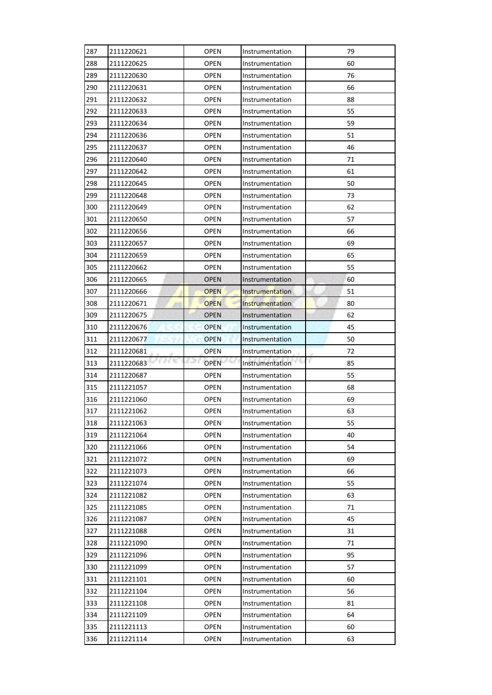| 287        | 2111220621           | <b>OPEN</b> | Instrumentation        | 79       |
|------------|----------------------|-------------|------------------------|----------|
| 288        | 2111220625           | <b>OPEN</b> | Instrumentation        | 60       |
| 289        | 2111220630           | <b>OPEN</b> | Instrumentation        | 76       |
| 290        | 2111220631           | <b>OPEN</b> | Instrumentation        | 66       |
| 291        | 2111220632           | <b>OPEN</b> | Instrumentation        | 88       |
| 292        | 2111220633           | <b>OPEN</b> | Instrumentation        | 55       |
| 293        | 2111220634           | <b>OPEN</b> | Instrumentation        | 59       |
| 294        | 2111220636           | <b>OPEN</b> | Instrumentation        | 51       |
| 295        | 2111220637           | <b>OPEN</b> | Instrumentation        | 46       |
| 296        | 2111220640           | <b>OPEN</b> | Instrumentation        | 71       |
| 297        | 2111220642           | <b>OPEN</b> | Instrumentation        | 61       |
| 298        | 2111220645           | <b>OPEN</b> | Instrumentation        | 50       |
| 299        | 2111220648           | <b>OPEN</b> | Instrumentation        | 73       |
| 300        | 2111220649           | <b>OPEN</b> | Instrumentation        | 62       |
| 301        | 2111220650           | <b>OPEN</b> | Instrumentation        | 57       |
| 302        | 2111220656           | <b>OPEN</b> | Instrumentation        | 66       |
| 303        | 2111220657           | <b>OPEN</b> | Instrumentation        | 69       |
| 304        | 2111220659           | <b>OPEN</b> | Instrumentation        | 65       |
| 305        | 2111220662           | <b>OPEN</b> | Instrumentation        | 55       |
| 306        | 2111220665           | <b>OPEN</b> | Instrumentation        | 60       |
| 307        | 2111220666           | <b>OPEN</b> | <b>Instrumentation</b> | 51       |
| 308        | 2111220671           | <b>OPEN</b> | Instrumentation        | 80       |
| 309        | 2111220675           | <b>OPEN</b> | Instrumentation        | 62       |
| 310        | 2111220676           | <b>OPEN</b> | Instrumentation        | 45       |
| 311        | 2111220677           | <b>OPEN</b> | Instrumentation        | 50       |
| 312        | 2111220681           | <b>OPEN</b> | Instrumentation        | 72       |
|            |                      |             |                        |          |
| 313        | a e to<br>2111220683 | <b>OPEN</b> | 65<br>Instrumentation  | F.<br>85 |
| 314        | 2111220687           | <b>OPEN</b> | Instrumentation        | 55       |
| 315        | 2111221057           | <b>OPEN</b> | Instrumentation        | 68       |
| 316        | 2111221060           | <b>OPEN</b> | Instrumentation        | 69       |
| 317        | 2111221062           | <b>OPEN</b> | Instrumentation        | 63       |
| 318        | 2111221063           | <b>OPEN</b> | Instrumentation        | 55       |
| 319        | 2111221064           | <b>OPEN</b> | Instrumentation        | 40       |
| 320        | 2111221066           | <b>OPEN</b> | Instrumentation        | 54       |
| 321        | 2111221072           | <b>OPEN</b> | Instrumentation        | 69       |
| 322        | 2111221073           | <b>OPEN</b> | Instrumentation        | 66       |
| 323        | 2111221074           | <b>OPEN</b> | Instrumentation        | 55       |
| 324        | 2111221082           | <b>OPEN</b> | Instrumentation        | 63       |
| 325        | 2111221085           | <b>OPEN</b> | Instrumentation        | 71       |
| 326        | 2111221087           | <b>OPEN</b> | Instrumentation        | 45       |
| 327        | 2111221088           | <b>OPEN</b> | Instrumentation        | 31       |
| 328        | 2111221090           | OPEN        | Instrumentation        | 71       |
| 329        | 2111221096           | <b>OPEN</b> | Instrumentation        | 95       |
| 330        | 2111221099           | <b>OPEN</b> | Instrumentation        | 57       |
| 331        | 2111221101           | <b>OPEN</b> | Instrumentation        | 60       |
| 332        | 2111221104           | <b>OPEN</b> | Instrumentation        | 56       |
| 333        | 2111221108           | <b>OPEN</b> | Instrumentation        | 81       |
| 334        | 2111221109           | <b>OPEN</b> | Instrumentation        | 64       |
| 335<br>336 | 2111221113           | OPEN        | Instrumentation        | 60<br>63 |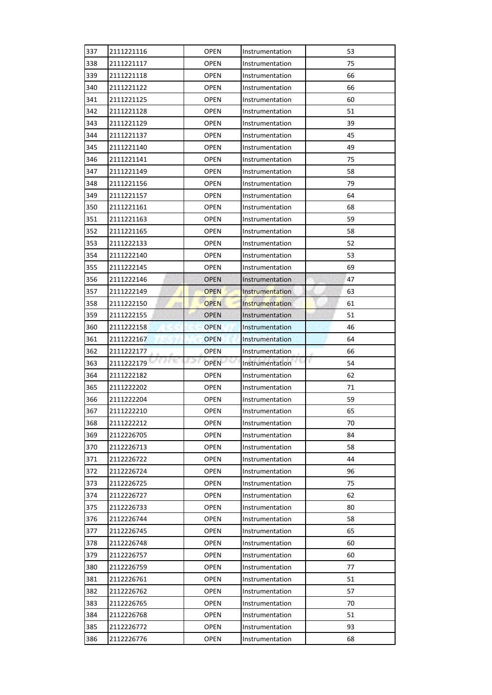| 337        | 2111221116               | <b>OPEN</b>  | Instrumentation                    | 53       |
|------------|--------------------------|--------------|------------------------------------|----------|
| 338        | 2111221117               | <b>OPEN</b>  | Instrumentation                    | 75       |
| 339        | 2111221118               | OPEN         | Instrumentation                    | 66       |
| 340        | 2111221122               | <b>OPEN</b>  | Instrumentation                    | 66       |
| 341        | 2111221125               | <b>OPEN</b>  | Instrumentation                    | 60       |
| 342        | 2111221128               | <b>OPEN</b>  | Instrumentation                    | 51       |
| 343        | 2111221129               | OPEN         | Instrumentation                    | 39       |
| 344        | 2111221137               | <b>OPEN</b>  | Instrumentation                    | 45       |
| 345        | 2111221140               | OPEN         | Instrumentation                    | 49       |
| 346        | 2111221141               | OPEN         | Instrumentation                    | 75       |
| 347        | 2111221149               | <b>OPEN</b>  | Instrumentation                    | 58       |
| 348        | 2111221156               | <b>OPEN</b>  | Instrumentation                    | 79       |
| 349        | 2111221157               | <b>OPEN</b>  | Instrumentation                    | 64       |
| 350        | 2111221161               | <b>OPEN</b>  | Instrumentation                    | 68       |
| 351        | 2111221163               | OPEN         | Instrumentation                    | 59       |
| 352        | 2111221165               | <b>OPEN</b>  | Instrumentation                    | 58       |
| 353        | 2111222133               | <b>OPEN</b>  | Instrumentation                    | 52       |
| 354        | 2111222140               | <b>OPEN</b>  | Instrumentation                    | 53       |
| 355        | 2111222145               | <b>OPEN</b>  | Instrumentation                    | 69       |
| 356        | 2111222146               | <b>OPEN</b>  | Instrumentation                    | 47       |
| 357        | 2111222149               | <b>OPEN</b>  | Instrumentation                    | 63       |
| 358        | 2111222150               | <b>OPEN</b>  | Instrumentation                    | 61       |
| 359        | 2111222155               | <b>OPEN</b>  | Instrumentation                    | 51       |
| 360        | 2111222158               | <b>OPEN</b>  | Instrumentation                    | 46       |
| 361        | 2111222167               | <b>OPEN</b>  | Instrumentation                    | 64       |
| 362        | 2111222177               | <b>OPEN</b>  | Instrumentation                    | 66       |
| 363        | 2111222179               | <b>OPEN</b>  | Instrumentation                    | r<br>54  |
|            |                          |              |                                    |          |
| 364        | 2111222182               | OPEN         | Instrumentation                    | 62       |
| 365        | 2111222202               | <b>OPEN</b>  | Instrumentation                    | 71       |
| 366        | 2111222204               | <b>OPEN</b>  | Instrumentation                    | 59       |
| 367        | 2111222210               | <b>OPEN</b>  | Instrumentation                    | 65       |
| 368        | 2111222212               | <b>OPEN</b>  | Instrumentation                    | 70       |
| 369        | 2112226705               | <b>OPEN</b>  | Instrumentation                    | 84       |
| 370        | 2112226713               | <b>OPEN</b>  | Instrumentation                    | 58       |
| 371        | 2112226722               | OPEN         | Instrumentation                    | 44       |
| 372        | 2112226724               | <b>OPEN</b>  | Instrumentation                    | 96       |
| 373        | 2112226725               | <b>OPEN</b>  | Instrumentation                    | 75       |
| 374        | 2112226727               | <b>OPEN</b>  | Instrumentation                    | 62       |
| 375        | 2112226733               | <b>OPEN</b>  | Instrumentation                    | 80       |
| 376        | 2112226744               | <b>OPEN</b>  | Instrumentation                    | 58       |
| 377        | 2112226745               | <b>OPEN</b>  | Instrumentation                    | 65       |
| 378        | 2112226748               | OPEN         | Instrumentation                    | 60       |
| 379        | 2112226757               | <b>OPEN</b>  | Instrumentation                    | 60       |
| 380        | 2112226759               | <b>OPEN</b>  | Instrumentation                    | 77       |
| 381        | 2112226761               | <b>OPEN</b>  | Instrumentation                    | 51       |
| 382        | 2112226762               | <b>OPEN</b>  | Instrumentation                    | 57       |
| 383        | 2112226765               | <b>OPEN</b>  | Instrumentation                    | 70       |
| 384        | 2112226768               | <b>OPEN</b>  | Instrumentation                    | 51       |
| 385<br>386 | 2112226772<br>2112226776 | OPEN<br>OPEN | Instrumentation<br>Instrumentation | 93<br>68 |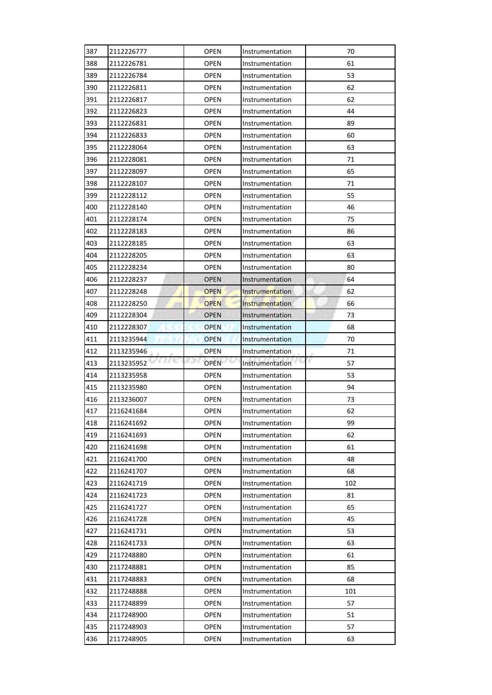| 387 | 2112226777         | <b>OPEN</b> | Instrumentation        | 70       |
|-----|--------------------|-------------|------------------------|----------|
| 388 | 2112226781         | <b>OPEN</b> | Instrumentation        | 61       |
| 389 | 2112226784         | <b>OPEN</b> | Instrumentation        | 53       |
| 390 | 2112226811         | <b>OPEN</b> | Instrumentation        | 62       |
| 391 | 2112226817         | <b>OPEN</b> | Instrumentation        | 62       |
| 392 | 2112226823         | <b>OPEN</b> | Instrumentation        | 44       |
| 393 | 2112226831         | <b>OPEN</b> | Instrumentation        | 89       |
| 394 | 2112226833         | <b>OPEN</b> | Instrumentation        | 60       |
| 395 | 2112228064         | <b>OPEN</b> | Instrumentation        | 63       |
| 396 | 2112228081         | <b>OPEN</b> | Instrumentation        | 71       |
| 397 | 2112228097         | <b>OPEN</b> | Instrumentation        | 65       |
| 398 | 2112228107         | <b>OPEN</b> | Instrumentation        | 71       |
| 399 | 2112228112         | <b>OPEN</b> | Instrumentation        | 55       |
| 400 | 2112228140         | <b>OPEN</b> | Instrumentation        | 46       |
| 401 | 2112228174         | <b>OPEN</b> | Instrumentation        | 75       |
| 402 | 2112228183         | <b>OPEN</b> | Instrumentation        | 86       |
| 403 | 2112228185         | <b>OPEN</b> | Instrumentation        | 63       |
| 404 | 2112228205         | <b>OPEN</b> | Instrumentation        | 63       |
| 405 | 2112228234         | <b>OPEN</b> | Instrumentation        | 80       |
| 406 | 2112228237         | <b>OPEN</b> | Instrumentation        | 64       |
| 407 | 2112228248         | <b>OPEN</b> | <b>Instrumentation</b> | 62       |
| 408 | 2112228250         | <b>OPEN</b> | Instrumentation        | 66       |
| 409 | 2112228304         | <b>OPEN</b> | Instrumentation        | 73       |
| 410 | 2112228307         | <b>OPEN</b> | Instrumentation        | 68       |
| 411 | 2113235944         | <b>OPEN</b> | Instrumentation        | 70       |
|     |                    |             |                        |          |
| 412 | 2113235946         | <b>OPEN</b> | Instrumentation        | 71       |
| 413 | a ne<br>2113235952 | <b>OPEN</b> | 65<br>Instrumentation  | F.<br>57 |
| 414 | 2113235958         | <b>OPEN</b> | Instrumentation        | 53       |
| 415 | 2113235980         | <b>OPEN</b> | Instrumentation        | 94       |
| 416 | 2113236007         | <b>OPEN</b> | Instrumentation        | 73       |
| 417 | 2116241684         | <b>OPEN</b> | Instrumentation        | 62       |
| 418 | 2116241692         | <b>OPEN</b> | Instrumentation        | 99       |
| 419 | 2116241693         | <b>OPEN</b> | Instrumentation        | 62       |
| 420 | 2116241698         | <b>OPEN</b> | Instrumentation        | 61       |
| 421 | 2116241700         | <b>OPEN</b> | Instrumentation        | 48       |
| 422 | 2116241707         | <b>OPEN</b> | Instrumentation        | 68       |
| 423 | 2116241719         | <b>OPEN</b> | Instrumentation        | 102      |
| 424 | 2116241723         | <b>OPEN</b> | Instrumentation        | 81       |
| 425 | 2116241727         | <b>OPEN</b> | Instrumentation        | 65       |
| 426 | 2116241728         | <b>OPEN</b> | Instrumentation        | 45       |
| 427 | 2116241731         | <b>OPEN</b> | Instrumentation        | 53       |
| 428 | 2116241733         | OPEN        | Instrumentation        | 63       |
| 429 | 2117248880         | <b>OPEN</b> | Instrumentation        | 61       |
| 430 | 2117248881         | <b>OPEN</b> | Instrumentation        | 85       |
| 431 | 2117248883         | <b>OPEN</b> | Instrumentation        | 68       |
| 432 | 2117248888         | <b>OPEN</b> | Instrumentation        | 101      |
| 433 | 2117248899         | <b>OPEN</b> | Instrumentation        | 57       |
| 434 | 2117248900         | <b>OPEN</b> | Instrumentation        | 51       |
| 435 | 2117248903         | OPEN        | Instrumentation        | 57       |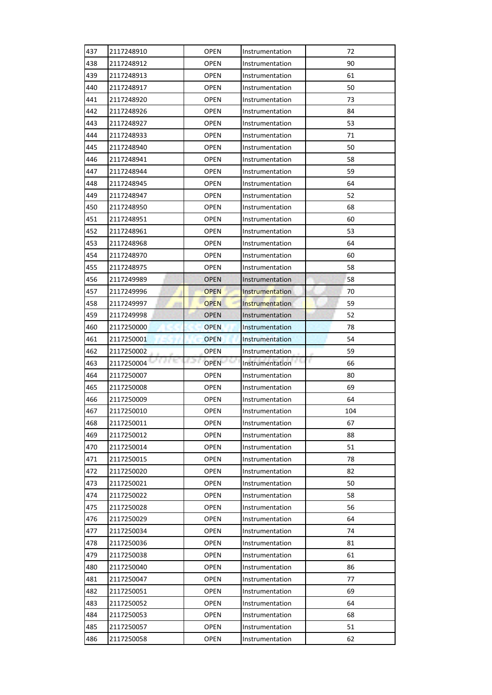| 437 | 2117248910         | <b>OPEN</b> | Instrumentation        | 72       |
|-----|--------------------|-------------|------------------------|----------|
| 438 | 2117248912         | <b>OPEN</b> | Instrumentation        | 90       |
| 439 | 2117248913         | <b>OPEN</b> | Instrumentation        | 61       |
| 440 | 2117248917         | <b>OPEN</b> | Instrumentation        | 50       |
| 441 | 2117248920         | <b>OPEN</b> | Instrumentation        | 73       |
| 442 | 2117248926         | <b>OPEN</b> | Instrumentation        | 84       |
| 443 | 2117248927         | <b>OPEN</b> | Instrumentation        | 53       |
| 444 | 2117248933         | <b>OPEN</b> | Instrumentation        | 71       |
| 445 | 2117248940         | <b>OPEN</b> | Instrumentation        | 50       |
| 446 | 2117248941         | <b>OPEN</b> | Instrumentation        | 58       |
| 447 | 2117248944         | <b>OPEN</b> | Instrumentation        | 59       |
| 448 | 2117248945         | <b>OPEN</b> | Instrumentation        | 64       |
| 449 | 2117248947         | <b>OPEN</b> | Instrumentation        | 52       |
| 450 | 2117248950         | <b>OPEN</b> | Instrumentation        | 68       |
| 451 | 2117248951         | <b>OPEN</b> | Instrumentation        | 60       |
| 452 | 2117248961         | <b>OPEN</b> | Instrumentation        | 53       |
| 453 | 2117248968         | <b>OPEN</b> | Instrumentation        | 64       |
| 454 | 2117248970         | <b>OPEN</b> | Instrumentation        | 60       |
| 455 | 2117248975         | <b>OPEN</b> | Instrumentation        | 58       |
| 456 | 2117249989         | <b>OPEN</b> | Instrumentation        | 58       |
| 457 | 2117249996         | <b>OPEN</b> | <b>Instrumentation</b> | 70       |
| 458 | 2117249997         | <b>OPEN</b> | Instrumentation        | 59       |
| 459 | 2117249998         | <b>OPEN</b> | Instrumentation        | 52       |
| 460 | 2117250000         | <b>OPEN</b> | Instrumentation        | 78       |
| 461 | 2117250001         | <b>OPEN</b> | Instrumentation        | 54       |
|     |                    |             |                        |          |
| 462 | 2117250002         | <b>OPEN</b> | Instrumentation        | 59       |
| 463 | a ne<br>2117250004 | <b>OPEN</b> | r v<br>Instrumentation | F.<br>66 |
| 464 | 2117250007         | <b>OPEN</b> | Instrumentation        | 80       |
| 465 | 2117250008         | <b>OPEN</b> | Instrumentation        | 69       |
| 466 | 2117250009         | <b>OPEN</b> | Instrumentation        | 64       |
| 467 | 2117250010         | <b>OPEN</b> | Instrumentation        | 104      |
| 468 | 2117250011         | <b>OPEN</b> | Instrumentation        | 67       |
| 469 | 2117250012         | <b>OPEN</b> | Instrumentation        | 88       |
| 470 | 2117250014         | <b>OPEN</b> | Instrumentation        | 51       |
| 471 | 2117250015         | <b>OPEN</b> | Instrumentation        | 78       |
| 472 | 2117250020         | <b>OPEN</b> | Instrumentation        | 82       |
| 473 | 2117250021         | <b>OPEN</b> | Instrumentation        | 50       |
| 474 | 2117250022         | <b>OPEN</b> | Instrumentation        | 58       |
| 475 | 2117250028         | <b>OPEN</b> | Instrumentation        | 56       |
| 476 | 2117250029         | <b>OPEN</b> | Instrumentation        | 64       |
| 477 | 2117250034         | <b>OPEN</b> | Instrumentation        | 74       |
| 478 | 2117250036         | <b>OPEN</b> | Instrumentation        | 81       |
| 479 | 2117250038         | <b>OPEN</b> | Instrumentation        | 61       |
| 480 | 2117250040         | <b>OPEN</b> | Instrumentation        | 86       |
| 481 | 2117250047         | <b>OPEN</b> | Instrumentation        | 77       |
| 482 | 2117250051         | <b>OPEN</b> | Instrumentation        | 69       |
| 483 | 2117250052         | <b>OPEN</b> | Instrumentation        | 64       |
| 484 | 2117250053         | <b>OPEN</b> | Instrumentation        | 68       |
| 485 | 2117250057         | OPEN        | Instrumentation        | 51       |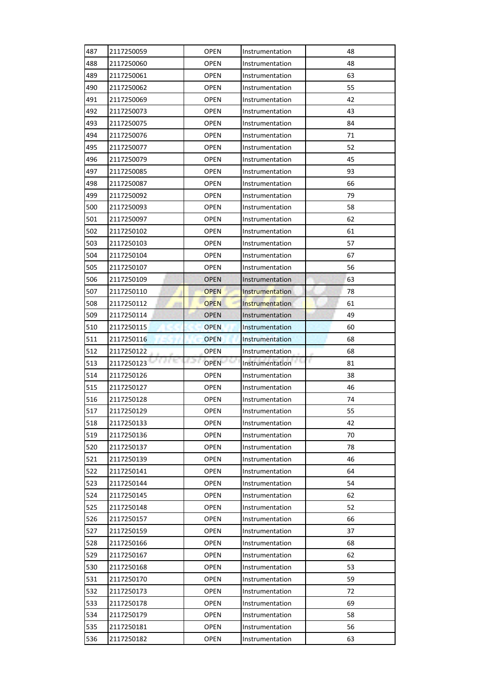| 487        | 2117250059         | <b>OPEN</b> | Instrumentation        | 48       |
|------------|--------------------|-------------|------------------------|----------|
| 488        | 2117250060         | <b>OPEN</b> | Instrumentation        | 48       |
| 489        | 2117250061         | <b>OPEN</b> | Instrumentation        | 63       |
| 490        | 2117250062         | <b>OPEN</b> | Instrumentation        | 55       |
| 491        | 2117250069         | <b>OPEN</b> | Instrumentation        | 42       |
| 492        | 2117250073         | <b>OPEN</b> | Instrumentation        | 43       |
| 493        | 2117250075         | <b>OPEN</b> | Instrumentation        | 84       |
| 494        | 2117250076         | <b>OPEN</b> | Instrumentation        | 71       |
| 495        | 2117250077         | <b>OPEN</b> | Instrumentation        | 52       |
| 496        | 2117250079         | <b>OPEN</b> | Instrumentation        | 45       |
| 497        | 2117250085         | <b>OPEN</b> | Instrumentation        | 93       |
| 498        | 2117250087         | <b>OPEN</b> | Instrumentation        | 66       |
| 499        | 2117250092         | <b>OPEN</b> | Instrumentation        | 79       |
| 500        | 2117250093         | <b>OPEN</b> | Instrumentation        | 58       |
| 501        | 2117250097         | <b>OPEN</b> | Instrumentation        | 62       |
| 502        | 2117250102         | <b>OPEN</b> | Instrumentation        | 61       |
| 503        | 2117250103         | <b>OPEN</b> | Instrumentation        | 57       |
| 504        | 2117250104         | <b>OPEN</b> | Instrumentation        | 67       |
| 505        | 2117250107         | <b>OPEN</b> | Instrumentation        | 56       |
| 506        | 2117250109         | <b>OPEN</b> | Instrumentation        | 63       |
| 507        | 2117250110         | <b>OPEN</b> | <b>Instrumentation</b> | 78       |
| 508        | 2117250112         | <b>OPEN</b> | Instrumentation        | 61       |
| 509        | 2117250114         | <b>OPEN</b> | Instrumentation        | 49       |
| 510        | 2117250115         | <b>OPEN</b> | Instrumentation        | 60       |
| 511        | 2117250116         | <b>OPEN</b> | Instrumentation        | 68       |
|            |                    |             |                        |          |
| 512        | 2117250122         | <b>OPEN</b> | Instrumentation        | 68       |
| 513        | a nu<br>2117250123 | <b>OPEN</b> | 65<br>Instrumentation  | F.<br>81 |
| 514        | 2117250126         | <b>OPEN</b> | Instrumentation        | 38       |
| 515        | 2117250127         | <b>OPEN</b> | Instrumentation        | 46       |
| 516        | 2117250128         | <b>OPEN</b> | Instrumentation        | 74       |
| 517        | 2117250129         | <b>OPEN</b> | Instrumentation        | 55       |
| 518        | 2117250133         | <b>OPEN</b> | Instrumentation        | 42       |
| 519        | 2117250136         | <b>OPEN</b> | Instrumentation        | 70       |
| 520        | 2117250137         | <b>OPEN</b> | Instrumentation        | 78       |
| 521        | 2117250139         | <b>OPEN</b> | Instrumentation        | 46       |
| 522        | 2117250141         | <b>OPEN</b> | Instrumentation        | 64       |
| 523        | 2117250144         | <b>OPEN</b> | Instrumentation        | 54       |
| 524        | 2117250145         | <b>OPEN</b> | Instrumentation        | 62       |
| 525        | 2117250148         | <b>OPEN</b> | Instrumentation        | 52       |
| 526        | 2117250157         | <b>OPEN</b> | Instrumentation        | 66       |
| 527        | 2117250159         | <b>OPEN</b> | Instrumentation        | 37       |
| 528        | 2117250166         | <b>OPEN</b> | Instrumentation        | 68       |
| 529        | 2117250167         | <b>OPEN</b> | Instrumentation        | 62       |
| 530        | 2117250168         | <b>OPEN</b> | Instrumentation        | 53       |
| 531        | 2117250170         | <b>OPEN</b> | Instrumentation        | 59       |
| 532        | 2117250173         | <b>OPEN</b> | Instrumentation        | 72       |
| 533        | 2117250178         | <b>OPEN</b> | Instrumentation        | 69       |
| 534        | 2117250179         | <b>OPEN</b> | Instrumentation        | 58       |
| 535<br>536 | 2117250181         | OPEN        | Instrumentation        | 56       |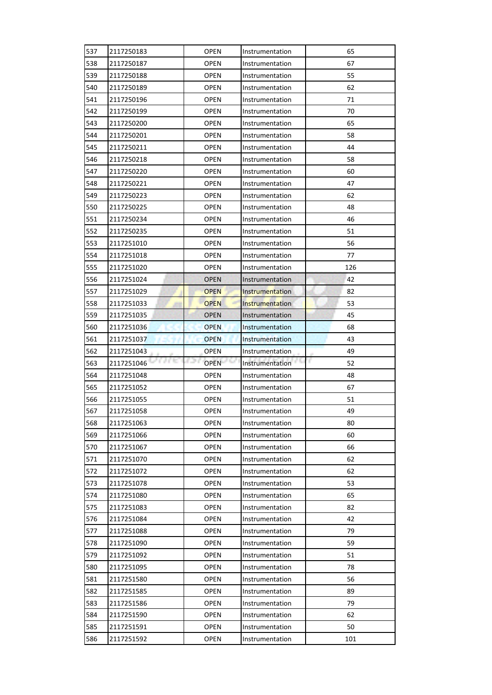| 537        | 2117250183         | <b>OPEN</b> | Instrumentation        | 65       |
|------------|--------------------|-------------|------------------------|----------|
| 538        | 2117250187         | <b>OPEN</b> | Instrumentation        | 67       |
| 539        | 2117250188         | <b>OPEN</b> | Instrumentation        | 55       |
| 540        | 2117250189         | <b>OPEN</b> | Instrumentation        | 62       |
| 541        | 2117250196         | <b>OPEN</b> | Instrumentation        | 71       |
| 542        | 2117250199         | <b>OPEN</b> | Instrumentation        | 70       |
| 543        | 2117250200         | OPEN        | Instrumentation        | 65       |
| 544        | 2117250201         | <b>OPEN</b> | Instrumentation        | 58       |
| 545        | 2117250211         | <b>OPEN</b> | Instrumentation        | 44       |
| 546        | 2117250218         | <b>OPEN</b> | Instrumentation        | 58       |
| 547        | 2117250220         | <b>OPEN</b> | Instrumentation        | 60       |
| 548        | 2117250221         | <b>OPEN</b> | Instrumentation        | 47       |
| 549        | 2117250223         | <b>OPEN</b> | Instrumentation        | 62       |
| 550        | 2117250225         | <b>OPEN</b> | Instrumentation        | 48       |
| 551        | 2117250234         | <b>OPEN</b> | Instrumentation        | 46       |
| 552        | 2117250235         | <b>OPEN</b> | Instrumentation        | 51       |
| 553        | 2117251010         | <b>OPEN</b> | Instrumentation        | 56       |
| 554        | 2117251018         | <b>OPEN</b> | Instrumentation        | 77       |
| 555        | 2117251020         | OPEN        | Instrumentation        | 126      |
| 556        | 2117251024         | <b>OPEN</b> | Instrumentation        | 42       |
| 557        | 2117251029         | <b>OPEN</b> | <b>Instrumentation</b> | 82       |
| 558        | 2117251033         | <b>OPEN</b> | Instrumentation        | 53       |
| 559        | 2117251035         | <b>OPEN</b> | Instrumentation        | 45       |
| 560        | 2117251036         | <b>OPEN</b> | Instrumentation        | 68       |
| 561        | 2117251037         | <b>OPEN</b> | Instrumentation        | 43       |
|            |                    |             |                        |          |
| 562        | 2117251043         | <b>OPEN</b> | Instrumentation        | 49       |
| 563        | a ne<br>2117251046 | <b>OPEN</b> | Instrumentation        | r.<br>52 |
| 564        | 2117251048         | <b>OPEN</b> | Instrumentation        | 48       |
| 565        | 2117251052         | <b>OPEN</b> | Instrumentation        | 67       |
| 566        | 2117251055         | <b>OPEN</b> | Instrumentation        | 51       |
| 567        | 2117251058         | <b>OPEN</b> | Instrumentation        | 49       |
| 568        | 2117251063         | <b>OPEN</b> | Instrumentation        | 80       |
| 569        | 2117251066         | <b>OPEN</b> | Instrumentation        | 60       |
| 570        | 2117251067         | <b>OPEN</b> | Instrumentation        | 66       |
| 571        | 2117251070         | <b>OPEN</b> | Instrumentation        | 62       |
| 572        | 2117251072         | <b>OPEN</b> | Instrumentation        | 62       |
| 573        | 2117251078         | <b>OPEN</b> | Instrumentation        | 53       |
| 574        | 2117251080         | <b>OPEN</b> | Instrumentation        | 65       |
| 575        | 2117251083         | <b>OPEN</b> | Instrumentation        | 82       |
| 576        | 2117251084         | <b>OPEN</b> | Instrumentation        | 42       |
| 577        | 2117251088         | <b>OPEN</b> | Instrumentation        | 79       |
| 578        | 2117251090         | <b>OPEN</b> | Instrumentation        | 59       |
| 579        | 2117251092         | <b>OPEN</b> | Instrumentation        | 51       |
| 580        | 2117251095         | <b>OPEN</b> | Instrumentation        | 78       |
| 581        | 2117251580         | <b>OPEN</b> | Instrumentation        | 56       |
| 582        | 2117251585         | <b>OPEN</b> | Instrumentation        | 89       |
| 583        | 2117251586         | <b>OPEN</b> | Instrumentation        | 79       |
| 584        | 2117251590         | <b>OPEN</b> | Instrumentation        | 62       |
| 585<br>586 | 2117251591         | <b>OPEN</b> | Instrumentation        | 50       |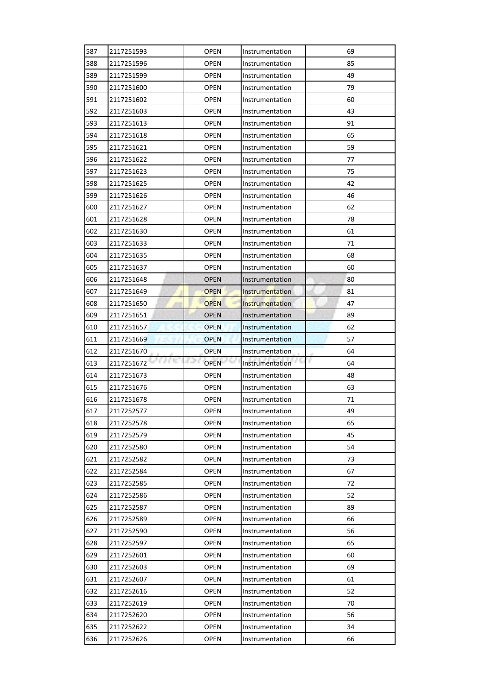| 587        | 2117251593               | <b>OPEN</b>         | Instrumentation                    | 69       |
|------------|--------------------------|---------------------|------------------------------------|----------|
| 588        | 2117251596               | <b>OPEN</b>         | Instrumentation                    | 85       |
| 589        | 2117251599               | <b>OPEN</b>         | Instrumentation                    | 49       |
| 590        | 2117251600               | <b>OPEN</b>         | Instrumentation                    | 79       |
| 591        | 2117251602               | <b>OPEN</b>         | Instrumentation                    | 60       |
| 592        | 2117251603               | <b>OPEN</b>         | Instrumentation                    | 43       |
| 593        | 2117251613               | OPEN                | Instrumentation                    | 91       |
| 594        | 2117251618               | <b>OPEN</b>         | Instrumentation                    | 65       |
| 595        | 2117251621               | <b>OPEN</b>         | Instrumentation                    | 59       |
| 596        | 2117251622               | <b>OPEN</b>         | Instrumentation                    | 77       |
| 597        | 2117251623               | <b>OPEN</b>         | Instrumentation                    | 75       |
| 598        | 2117251625               | <b>OPEN</b>         | Instrumentation                    | 42       |
| 599        | 2117251626               | <b>OPEN</b>         | Instrumentation                    | 46       |
| 600        | 2117251627               | OPEN                | Instrumentation                    | 62       |
| 601        | 2117251628               | OPEN                | Instrumentation                    | 78       |
| 602        | 2117251630               | <b>OPEN</b>         | Instrumentation                    | 61       |
| 603        | 2117251633               | <b>OPEN</b>         | Instrumentation                    | 71       |
| 604        | 2117251635               | <b>OPEN</b>         | Instrumentation                    | 68       |
| 605        | 2117251637               | OPEN                | Instrumentation                    | 60       |
| 606        | 2117251648               | <b>OPEN</b>         | Instrumentation                    | 80       |
| 607        | 2117251649               | <b>OPEN</b>         | <b>Instrumentation</b>             | 81       |
| 608        | 2117251650               | <b>OPEN</b>         | Instrumentation                    | 47       |
| 609        | 2117251651               | <b>OPEN</b>         | Instrumentation                    | 89       |
| 610        | 2117251657               | <b>OPEN</b>         | Instrumentation                    | 62       |
| 611        | 2117251669               | <b>OPEN</b>         | Instrumentation                    | 57       |
|            |                          |                     |                                    |          |
| 612        | 2117251670               | <b>OPEN</b>         | Instrumentation                    | 64       |
| 613        | a nu<br>2117251672       | <b>OPEN</b>         | Instrumentation                    | r.<br>64 |
| 614        | 2117251673               | <b>OPEN</b>         | Instrumentation                    | 48       |
| 615        | 2117251676               | <b>OPEN</b>         | Instrumentation                    | 63       |
| 616        | 2117251678               | <b>OPEN</b>         | Instrumentation                    | 71       |
| 617        | 2117252577               | <b>OPEN</b>         | Instrumentation                    | 49       |
| 618        | 2117252578               | <b>OPEN</b>         | Instrumentation                    | 65       |
| 619        | 2117252579               | <b>OPEN</b>         | Instrumentation                    | 45       |
| 620        | 2117252580               | <b>OPEN</b>         | Instrumentation                    | 54       |
| 621        | 2117252582               | <b>OPEN</b>         | Instrumentation                    | 73       |
| 622        | 2117252584               | <b>OPEN</b>         | Instrumentation                    | 67       |
| 623        | 2117252585               | <b>OPEN</b>         | Instrumentation                    | 72       |
| 624        | 2117252586               | <b>OPEN</b>         | Instrumentation                    | 52       |
| 625        | 2117252587               | <b>OPEN</b>         | Instrumentation                    | 89       |
| 626        | 2117252589               | <b>OPEN</b>         | Instrumentation                    | 66       |
| 627        | 2117252590               | <b>OPEN</b>         | Instrumentation                    | 56       |
| 628        | 2117252597               | <b>OPEN</b>         | Instrumentation                    | 65       |
| 629        | 2117252601               | <b>OPEN</b>         | Instrumentation                    | 60       |
| 630        | 2117252603               | <b>OPEN</b>         | Instrumentation                    | 69       |
| 631        | 2117252607               | <b>OPEN</b>         | Instrumentation                    | 61       |
| 632        | 2117252616               | <b>OPEN</b>         | Instrumentation                    | 52       |
| 633        | 2117252619               | <b>OPEN</b>         | Instrumentation                    | 70       |
| 634        | 2117252620               | <b>OPEN</b>         | Instrumentation                    | 56       |
| 635<br>636 | 2117252622<br>2117252626 | <b>OPEN</b><br>OPEN | Instrumentation<br>Instrumentation | 34<br>66 |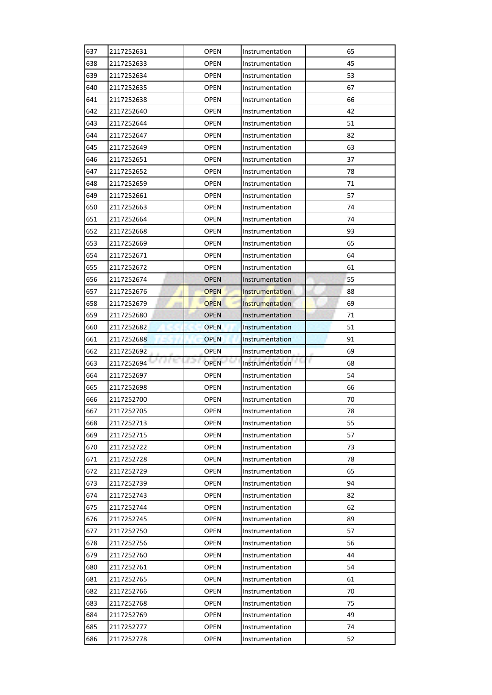| 637 | 2117252631           | <b>OPEN</b> | Instrumentation        | 65      |
|-----|----------------------|-------------|------------------------|---------|
| 638 | 2117252633           | <b>OPEN</b> | Instrumentation        | 45      |
| 639 | 2117252634           | <b>OPEN</b> | Instrumentation        | 53      |
| 640 | 2117252635           | <b>OPEN</b> | Instrumentation        | 67      |
| 641 | 2117252638           | <b>OPEN</b> | Instrumentation        | 66      |
| 642 | 2117252640           | <b>OPEN</b> | Instrumentation        | 42      |
| 643 | 2117252644           | <b>OPEN</b> | Instrumentation        | 51      |
| 644 | 2117252647           | <b>OPEN</b> | Instrumentation        | 82      |
| 645 | 2117252649           | <b>OPEN</b> | Instrumentation        | 63      |
| 646 | 2117252651           | <b>OPEN</b> | Instrumentation        | 37      |
| 647 | 2117252652           | <b>OPEN</b> | Instrumentation        | 78      |
| 648 | 2117252659           | <b>OPEN</b> | Instrumentation        | 71      |
| 649 | 2117252661           | <b>OPEN</b> | Instrumentation        | 57      |
| 650 | 2117252663           | <b>OPEN</b> | Instrumentation        | 74      |
| 651 | 2117252664           | <b>OPEN</b> | Instrumentation        | 74      |
| 652 | 2117252668           | <b>OPEN</b> | Instrumentation        | 93      |
| 653 | 2117252669           | <b>OPEN</b> | Instrumentation        | 65      |
| 654 | 2117252671           | <b>OPEN</b> | Instrumentation        | 64      |
| 655 | 2117252672           | <b>OPEN</b> | Instrumentation        | 61      |
| 656 | 2117252674           | <b>OPEN</b> | Instrumentation        | 55      |
| 657 | 2117252676           | <b>OPEN</b> | <b>Instrumentation</b> | 88      |
| 658 | 2117252679           | <b>OPEN</b> | Instrumentation        | 69      |
| 659 | 2117252680           | <b>OPEN</b> | Instrumentation        | 71      |
| 660 | 2117252682           | <b>OPEN</b> | Instrumentation        | 51      |
| 661 | 2117252688           | <b>OPEN</b> | Instrumentation        | 91      |
|     |                      |             |                        |         |
| 662 | 2117252692           | <b>OPEN</b> | Instrumentation        | 69      |
| 663 | a e to<br>2117252694 | <b>OPEN</b> | Instrumentation        | r<br>68 |
| 664 | 2117252697           | <b>OPEN</b> | Instrumentation        | 54      |
| 665 | 2117252698           | <b>OPEN</b> | Instrumentation        | 66      |
| 666 | 2117252700           | <b>OPEN</b> | Instrumentation        | 70      |
| 667 | 2117252705           | <b>OPEN</b> | Instrumentation        | 78      |
| 668 | 2117252713           | <b>OPEN</b> | Instrumentation        | 55      |
| 669 | 2117252715           | <b>OPEN</b> | Instrumentation        | 57      |
| 670 | 2117252722           | <b>OPEN</b> | Instrumentation        | 73      |
| 671 | 2117252728           | <b>OPEN</b> | Instrumentation        | 78      |
| 672 | 2117252729           | <b>OPEN</b> | Instrumentation        | 65      |
| 673 | 2117252739           | <b>OPEN</b> | Instrumentation        | 94      |
| 674 | 2117252743           | <b>OPEN</b> | Instrumentation        | 82      |
| 675 | 2117252744           | <b>OPEN</b> | Instrumentation        | 62      |
| 676 | 2117252745           | <b>OPEN</b> | Instrumentation        | 89      |
| 677 | 2117252750           | <b>OPEN</b> | Instrumentation        | 57      |
| 678 | 2117252756           | <b>OPEN</b> | Instrumentation        | 56      |
| 679 | 2117252760           | <b>OPEN</b> | Instrumentation        | 44      |
| 680 | 2117252761           | <b>OPEN</b> | Instrumentation        | 54      |
| 681 | 2117252765           | <b>OPEN</b> | Instrumentation        | 61      |
| 682 | 2117252766           | <b>OPEN</b> | Instrumentation        | 70      |
| 683 | 2117252768           | <b>OPEN</b> | Instrumentation        | 75      |
| 684 | 2117252769           | <b>OPEN</b> | Instrumentation        | 49      |
| 685 | 2117252777           | <b>OPEN</b> | Instrumentation        | 74      |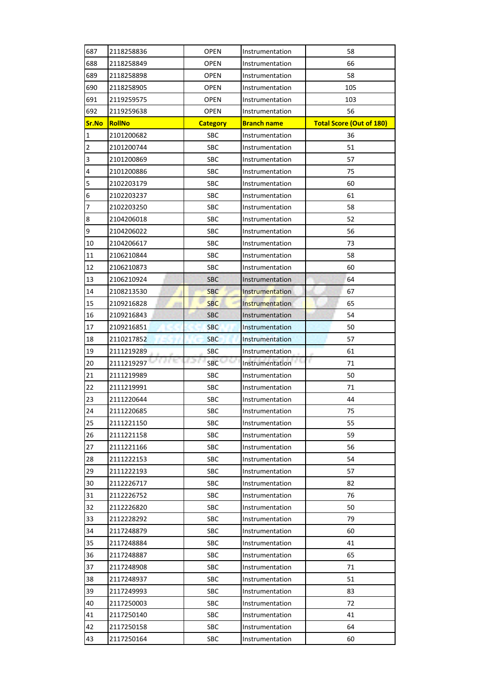| 687             | 2118258836           | <b>OPEN</b>     | Instrumentation                    | 58                              |
|-----------------|----------------------|-----------------|------------------------------------|---------------------------------|
| 688             | 2118258849           | <b>OPEN</b>     | Instrumentation                    | 66                              |
| 689             | 2118258898           | <b>OPEN</b>     | Instrumentation                    | 58                              |
| 690             | 2118258905           | <b>OPEN</b>     | Instrumentation                    | 105                             |
| 691             | 2119259575           | <b>OPEN</b>     | Instrumentation                    | 103                             |
| 692             | 2119259638           | <b>OPEN</b>     | Instrumentation                    | 56                              |
| Sr.No           | <b>RollNo</b>        | <b>Category</b> | <b>Branch name</b>                 | <b>Total Score (Out of 180)</b> |
| $\mathbf{1}$    | 2101200682           | <b>SBC</b>      | Instrumentation                    | 36                              |
| $\overline{2}$  | 2101200744           | SBC             | Instrumentation                    | 51                              |
| 3               | 2101200869           | SBC             | Instrumentation                    | 57                              |
| 4               | 2101200886           | <b>SBC</b>      | Instrumentation                    | 75                              |
| 5               | 2102203179           | SBC             | Instrumentation                    | 60                              |
| $6\phantom{.}6$ | 2102203237           | SBC             | Instrumentation                    | 61                              |
| 7               | 2102203250           | <b>SBC</b>      | Instrumentation                    | 58                              |
| $\bf 8$         | 2104206018           | SBC             | Instrumentation                    | 52                              |
| 9               | 2104206022           | <b>SBC</b>      | Instrumentation                    | 56                              |
| 10              | 2104206617           | SBC             | Instrumentation                    | 73                              |
| 11              | 2106210844           | <b>SBC</b>      | Instrumentation                    | 58                              |
| 12              | 2106210873           | <b>SBC</b>      | Instrumentation                    | 60                              |
| 13              | 2106210924           | <b>SBC</b>      | Instrumentation                    | 64                              |
| 14              | 2108213530           | <b>SBC</b>      | Instrumentation                    | 67                              |
| 15              | 2109216828           | <b>SBC</b>      | Instrumentation                    | 65                              |
| 16              | 2109216843           | <b>SBC</b>      | Instrumentation                    | 54                              |
| 17              | 2109216851           | <b>SBC</b>      | Instrumentation                    | 50                              |
| 18              | 2110217852           | <b>SBC</b>      | Instrumentation                    | 57                              |
| 19              | 2111219289           | <b>SBC</b>      | Instrumentation                    | 61                              |
| 20              | a e to<br>2111219297 | n m<br>SBC      | Instrumentation                    | F.<br>71                        |
| 21              | 2111219989           | SBC             | Instrumentation                    | 50                              |
| 22              | 2111219991           | SBC             | Instrumentation                    | 71                              |
| 23              | 2111220644           | <b>SBC</b>      | Instrumentation                    | 44                              |
| 24              | 2111220685           | <b>SBC</b>      | Instrumentation                    | 75                              |
| 25              | 2111221150           | SBC             | Instrumentation                    | 55                              |
| 26              | 2111221158           | SBC             | Instrumentation                    | 59                              |
| 27              | 2111221166           | SBC             | Instrumentation                    | 56                              |
| 28              | 2111222153           | SBC             | Instrumentation                    | 54                              |
| 29              | 2111222193           | SBC             | Instrumentation                    | 57                              |
| 30              | 2112226717           | SBC             | Instrumentation                    | 82                              |
| 31              | 2112226752           | SBC             | Instrumentation                    | 76                              |
| 32              | 2112226820           | SBC             | Instrumentation                    | 50                              |
| 33              | 2112228292           | SBC             | Instrumentation                    | 79                              |
| 34              | 2117248879           | SBC             | Instrumentation                    | 60                              |
| 35              | 2117248884           | SBC             | Instrumentation                    | 41                              |
| 36              | 2117248887           | SBC             | Instrumentation                    | 65                              |
| 37              | 2117248908           | SBC             | Instrumentation                    | 71                              |
| 38              | 2117248937           | SBC             | Instrumentation                    | 51                              |
| 39              | 2117249993           | SBC             | Instrumentation                    | 83                              |
| 40              | 2117250003           | SBC             | Instrumentation                    | 72                              |
| 41              | 2117250140           | SBC             |                                    |                                 |
| 42              | 2117250158           |                 | Instrumentation<br>Instrumentation | 41<br>64                        |
|                 |                      | SBC             |                                    |                                 |
| 43              | 2117250164           | SBC             | Instrumentation                    | 60                              |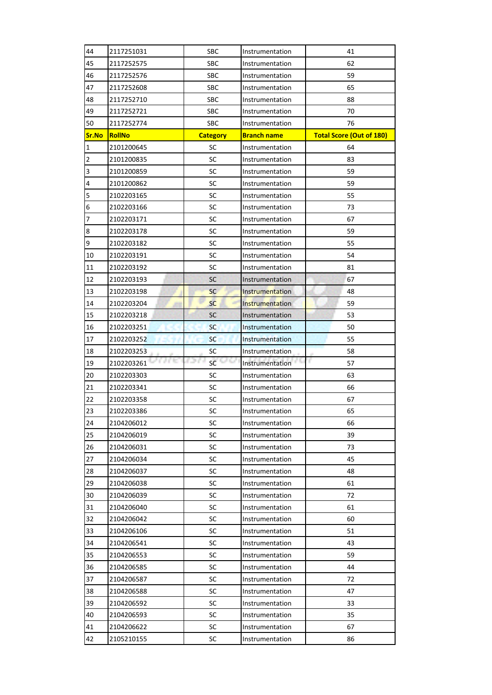| 44             | 2117251031    | <b>SBC</b>      | Instrumentation        | 41                              |
|----------------|---------------|-----------------|------------------------|---------------------------------|
| 45             | 2117252575    | <b>SBC</b>      | Instrumentation        | 62                              |
| 46             | 2117252576    | SBC             | Instrumentation        | 59                              |
| 47             | 2117252608    | <b>SBC</b>      | Instrumentation        | 65                              |
| 48             | 2117252710    | <b>SBC</b>      | Instrumentation        | 88                              |
| 49             | 2117252721    | <b>SBC</b>      | Instrumentation        | 70                              |
| 50             | 2117252774    | <b>SBC</b>      | Instrumentation        | 76                              |
| Sr.No          | <b>RollNo</b> | <b>Category</b> | <b>Branch name</b>     | <b>Total Score (Out of 180)</b> |
| $\mathbf{1}$   | 2101200645    | SC              | Instrumentation        | 64                              |
| $\overline{2}$ | 2101200835    | SC              | Instrumentation        | 83                              |
| 3              | 2101200859    | SC              | Instrumentation        | 59                              |
| 4              | 2101200862    | SC              | Instrumentation        | 59                              |
| 5              | 2102203165    | SC              | Instrumentation        | 55                              |
| 6              | 2102203166    | SC              | Instrumentation        | 73                              |
| 7              | 2102203171    | SC              | Instrumentation        | 67                              |
| 8              | 2102203178    | SC              | Instrumentation        | 59                              |
| 9              | 2102203182    | SC              | Instrumentation        | 55                              |
| 10             | 2102203191    | SC              | Instrumentation        | 54                              |
| 11             | 2102203192    | SC              | Instrumentation        | 81                              |
| 12             | 2102203193    | SC              | Instrumentation        | 67                              |
| 13             | 2102203198    | <b>SC</b>       | <b>Instrumentation</b> | 48                              |
| 14             | 2102203204    | <b>SC</b>       | Instrumentation        | 59                              |
| 15             | 2102203218    | SC              | Instrumentation        | 53                              |
| 16             | 2102203251    | <b>SC</b>       | Instrumentation        | 50                              |
| 17             | 2102203252    | <b>SC</b>       | Instrumentation        | 55                              |
| 18             | 2102203253    | SC              | Instrumentation        | 58                              |
| 19             | 2102203261    | 62.0<br>SC      | Instrumentation        | г<br>57                         |
| 20             | 2102203303    | SC              | Instrumentation        | 63                              |
| 21             | 2102203341    | SC              | Instrumentation        | 66                              |
| 22             | 2102203358    | SC              | Instrumentation        | 67                              |
| 23             | 2102203386    | SC              | Instrumentation        | 65                              |
| 24             | 2104206012    | SC              | Instrumentation        | 66                              |
| 25             | 2104206019    | SC              | Instrumentation        | 39                              |
| 26             | 2104206031    | SC              | Instrumentation        | 73                              |
| 27             | 2104206034    | SC              | Instrumentation        | 45                              |
| 28             | 2104206037    | <b>SC</b>       | Instrumentation        | 48                              |
| 29             | 2104206038    | SC              | Instrumentation        | 61                              |
| 30             | 2104206039    | SC              | Instrumentation        | 72                              |
| 31             | 2104206040    | SC              | Instrumentation        | 61                              |
| 32             | 2104206042    | <b>SC</b>       | Instrumentation        | 60                              |
| 33             | 2104206106    | SC              | Instrumentation        | 51                              |
| 34             | 2104206541    | SC              | Instrumentation        | 43                              |
| 35             | 2104206553    | SC              | Instrumentation        | 59                              |
| 36             | 2104206585    | SC              | Instrumentation        | 44                              |
| 37             | 2104206587    | SC              | Instrumentation        | 72                              |
| 38             | 2104206588    | SC              | Instrumentation        | 47                              |
| 39             | 2104206592    | SC              | Instrumentation        | 33                              |
| 40             | 2104206593    | SC              | Instrumentation        | 35                              |
| 41             | 2104206622    | SC              | Instrumentation        | 67                              |
| 42             | 2105210155    | SC              | Instrumentation        | 86                              |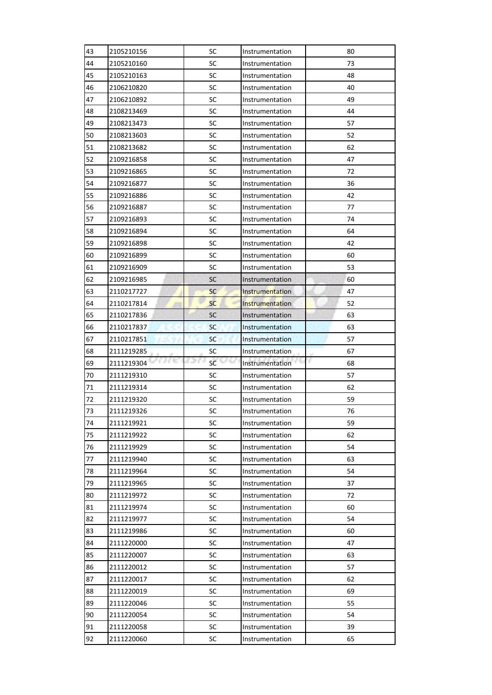| 43 | 2105210156           | SC                        | Instrumentation        | 80      |
|----|----------------------|---------------------------|------------------------|---------|
| 44 | 2105210160           | SC                        | Instrumentation        | 73      |
| 45 | 2105210163           | SC                        | Instrumentation        | 48      |
| 46 | 2106210820           | <b>SC</b>                 | Instrumentation        | 40      |
| 47 | 2106210892           | SC                        | Instrumentation        | 49      |
| 48 | 2108213469           | SC                        | Instrumentation        | 44      |
| 49 | 2108213473           | SC                        | Instrumentation        | 57      |
| 50 | 2108213603           | SC                        | Instrumentation        | 52      |
| 51 | 2108213682           | SC                        | Instrumentation        | 62      |
| 52 | 2109216858           | SC                        | Instrumentation        | 47      |
| 53 | 2109216865           | SC                        | Instrumentation        | 72      |
| 54 | 2109216877           | SC                        | Instrumentation        | 36      |
| 55 | 2109216886           | SC                        | Instrumentation        | 42      |
| 56 | 2109216887           | SC                        | Instrumentation        | 77      |
| 57 | 2109216893           | SC                        | Instrumentation        | 74      |
| 58 | 2109216894           | SC                        | Instrumentation        | 64      |
| 59 | 2109216898           | SC                        | Instrumentation        | 42      |
| 60 | 2109216899           | <b>SC</b>                 | Instrumentation        | 60      |
| 61 | 2109216909           | SC                        | Instrumentation        | 53      |
| 62 | 2109216985           | <b>SC</b>                 | Instrumentation        | 60      |
| 63 | 2110217727           | <b>SC</b>                 | <b>Instrumentation</b> | 47      |
| 64 | 2110217814           | <b>SC</b>                 | Instrumentation        | 52      |
| 65 | 2110217836           | <b>SC</b>                 | Instrumentation        | 63      |
| 66 | 2110217837           | <b>SC</b>                 | Instrumentation        | 63      |
| 67 | 2110217851           | <b>SC</b>                 | Instrumentation        | 57      |
|    |                      |                           |                        |         |
| 68 | 2111219285           | SC                        | Instrumentation        | 67      |
| 69 | A City<br>2111219304 | r o n<br>946<br><b>SC</b> | Instrumentation        | r<br>68 |
| 70 | 2111219310           | SC                        | Instrumentation        | 57      |
| 71 | 2111219314           | <b>SC</b>                 | Instrumentation        | 62      |
| 72 | 2111219320           | SC                        | Instrumentation        | 59      |
| 73 | 2111219326           | <b>SC</b>                 | Instrumentation        | 76      |
| 74 | 2111219921           | SC                        | Instrumentation        | 59      |
| 75 | 2111219922           | SC                        | Instrumentation        | 62      |
| 76 | 2111219929           | SC                        | Instrumentation        | 54      |
| 77 | 2111219940           | SC                        | Instrumentation        | 63      |
| 78 | 2111219964           | SC                        | Instrumentation        | 54      |
| 79 | 2111219965           | SC                        | Instrumentation        | 37      |
| 80 | 2111219972           | SC                        | Instrumentation        | 72      |
| 81 | 2111219974           | SC                        | Instrumentation        | 60      |
| 82 | 2111219977           | SC                        | Instrumentation        | 54      |
| 83 | 2111219986           | SC                        | Instrumentation        | 60      |
| 84 | 2111220000           | SC                        | Instrumentation        | 47      |
| 85 | 2111220007           | SC                        | Instrumentation        | 63      |
| 86 | 2111220012           | SC                        | Instrumentation        | 57      |
| 87 | 2111220017           | SC                        | Instrumentation        | 62      |
| 88 | 2111220019           | SC                        | Instrumentation        | 69      |
| 89 | 2111220046           | SC                        | Instrumentation        | 55      |
| 90 | 2111220054           | SC                        | Instrumentation        | 54      |
| 91 | 2111220058           | SC                        | Instrumentation        | 39      |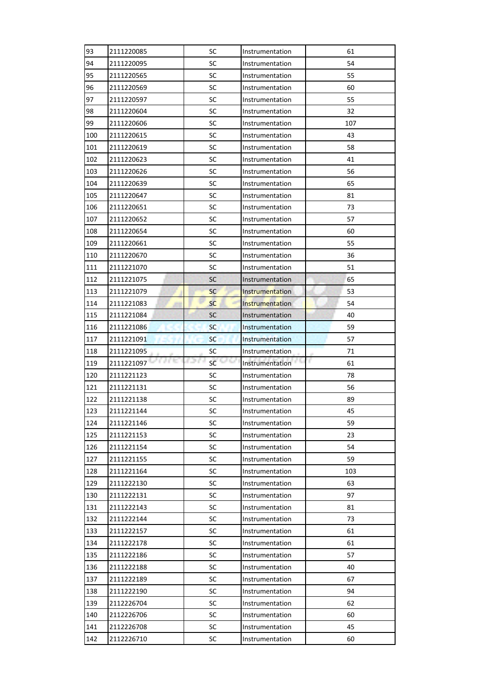| 93  | 2111220085 | SC         | Instrumentation        | 61      |
|-----|------------|------------|------------------------|---------|
| 94  | 2111220095 | SC         | Instrumentation        | 54      |
| 95  | 2111220565 | <b>SC</b>  | Instrumentation        | 55      |
| 96  | 2111220569 | SC         | Instrumentation        | 60      |
| 97  | 2111220597 | SC         | Instrumentation        | 55      |
| 98  | 2111220604 | SC         | Instrumentation        | 32      |
| 99  | 2111220606 | SC         | Instrumentation        | 107     |
| 100 | 2111220615 | SC         | Instrumentation        | 43      |
| 101 | 2111220619 | <b>SC</b>  | Instrumentation        | 58      |
| 102 | 2111220623 | SC         | Instrumentation        | 41      |
| 103 | 2111220626 | SC         | Instrumentation        | 56      |
| 104 | 2111220639 | SC         | Instrumentation        | 65      |
| 105 | 2111220647 | SC         | Instrumentation        | 81      |
| 106 | 2111220651 | <b>SC</b>  | Instrumentation        | 73      |
| 107 | 2111220652 | SC         | Instrumentation        | 57      |
| 108 | 2111220654 | SC         | Instrumentation        | 60      |
| 109 | 2111220661 | SC         | Instrumentation        | 55      |
| 110 | 2111220670 | SC         | Instrumentation        | 36      |
| 111 | 2111221070 | SC         | Instrumentation        | 51      |
| 112 | 2111221075 | SC         | Instrumentation        | 65      |
| 113 | 2111221079 | <b>SC</b>  | <b>Instrumentation</b> | 53      |
| 114 | 2111221083 | <b>SC</b>  | Instrumentation        | 54      |
| 115 | 2111221084 | <b>SC</b>  | Instrumentation        | 40      |
| 116 | 2111221086 | <b>SC</b>  | Instrumentation        | 59      |
| 117 | 2111221091 | <b>SC</b>  | Instrumentation        | 57      |
|     |            |            |                        |         |
| 118 | 2111221095 | SC         | Instrumentation        | 71      |
| 119 | 2111221097 | 62.0<br>SC | Instrumentation        | г<br>61 |
| 120 | 2111221123 | <b>SC</b>  | Instrumentation        | 78      |
| 121 | 2111221131 | <b>SC</b>  | Instrumentation        | 56      |
| 122 | 2111221138 | SC         | Instrumentation        | 89      |
| 123 | 2111221144 | <b>SC</b>  | Instrumentation        | 45      |
| 124 | 2111221146 | SC         | Instrumentation        | 59      |
| 125 | 2111221153 | <b>SC</b>  | Instrumentation        | 23      |
| 126 | 2111221154 | <b>SC</b>  | Instrumentation        | 54      |
| 127 | 2111221155 | <b>SC</b>  | Instrumentation        | 59      |
| 128 | 2111221164 | <b>SC</b>  | Instrumentation        | 103     |
| 129 | 2111222130 | SC         | Instrumentation        | 63      |
| 130 | 2111222131 | SC         | Instrumentation        | 97      |
| 131 | 2111222143 | SC         | Instrumentation        | 81      |
| 132 | 2111222144 | SC         | Instrumentation        | 73      |
| 133 | 2111222157 | SC         | Instrumentation        | 61      |
| 134 | 2111222178 | <b>SC</b>  | Instrumentation        | 61      |
| 135 | 2111222186 | SC         | Instrumentation        | 57      |
| 136 | 2111222188 | SC         | Instrumentation        | 40      |
| 137 | 2111222189 | <b>SC</b>  | Instrumentation        | 67      |
| 138 | 2111222190 | SC         | Instrumentation        | 94      |
| 139 | 2112226704 | SC         | Instrumentation        | 62      |
| 140 | 2112226706 | <b>SC</b>  | Instrumentation        | 60      |
| 141 | 2112226708 | <b>SC</b>  | Instrumentation        | 45      |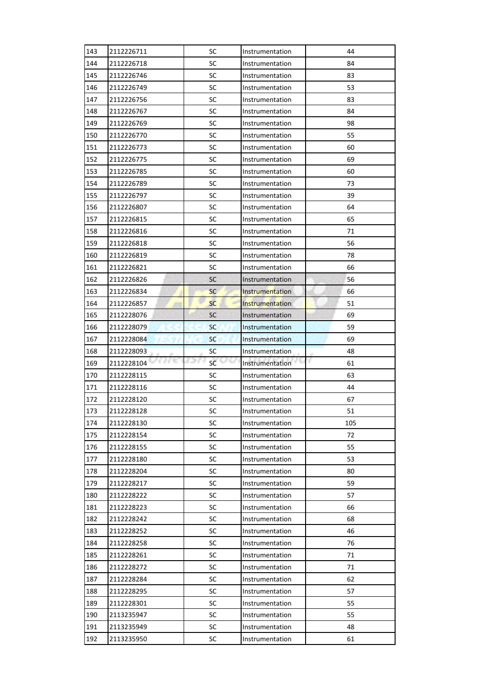| 143 | 2112226711           | SC                            | Instrumentation        | 44      |
|-----|----------------------|-------------------------------|------------------------|---------|
| 144 | 2112226718           | SC                            | Instrumentation        | 84      |
| 145 | 2112226746           | SC                            | Instrumentation        | 83      |
| 146 | 2112226749           | <b>SC</b>                     | Instrumentation        | 53      |
| 147 | 2112226756           | <b>SC</b>                     | Instrumentation        | 83      |
| 148 | 2112226767           | SC                            | Instrumentation        | 84      |
| 149 | 2112226769           | SC                            | Instrumentation        | 98      |
| 150 | 2112226770           | SC                            | Instrumentation        | 55      |
| 151 | 2112226773           | SC                            | Instrumentation        | 60      |
| 152 | 2112226775           | SC                            | Instrumentation        | 69      |
| 153 | 2112226785           | SC                            | Instrumentation        | 60      |
| 154 | 2112226789           | SC                            | Instrumentation        | 73      |
| 155 | 2112226797           | SC                            | Instrumentation        | 39      |
| 156 | 2112226807           | SC                            | Instrumentation        | 64      |
| 157 | 2112226815           | SC                            | Instrumentation        | 65      |
| 158 | 2112226816           | <b>SC</b>                     | Instrumentation        | 71      |
| 159 | 2112226818           | SC                            | Instrumentation        | 56      |
| 160 | 2112226819           | SC                            | Instrumentation        | 78      |
| 161 | 2112226821           | SC                            | Instrumentation        | 66      |
| 162 | 2112226826           | SC                            | Instrumentation        | 56      |
| 163 | 2112226834           | <b>SC</b>                     | <b>Instrumentation</b> | 66      |
| 164 | 2112226857           | <b>SC</b>                     | Instrumentation        | 51      |
| 165 | 2112228076           | <b>SC</b>                     | Instrumentation        | 69      |
| 166 | 2112228079           | <b>SC</b>                     | Instrumentation        | 59      |
| 167 | 2112228084           | <b>SC</b>                     | Instrumentation        | 69      |
|     |                      |                               |                        |         |
| 168 | 2112228093           | <b>SC</b>                     | Instrumentation        | 48      |
| 169 | a e to<br>2112228104 | r o n<br>$\mathsf{sc}$ $\Box$ | Instrumentation        | r<br>61 |
| 170 | 2112228115           | SC                            | Instrumentation        | 63      |
| 171 | 2112228116           | <b>SC</b>                     | Instrumentation        | 44      |
| 172 | 2112228120           | SC                            | Instrumentation        | 67      |
| 173 | 2112228128           | SC                            | Instrumentation        | 51      |
| 174 | 2112228130           | SC                            | Instrumentation        | 105     |
| 175 | 2112228154           | SC                            | Instrumentation        | 72      |
| 176 | 2112228155           | SC                            | Instrumentation        | 55      |
| 177 | 2112228180           | <b>SC</b>                     | Instrumentation        | 53      |
| 178 | 2112228204           | <b>SC</b>                     | Instrumentation        | 80      |
| 179 | 2112228217           | <b>SC</b>                     | Instrumentation        | 59      |
| 180 | 2112228222           | <b>SC</b>                     | Instrumentation        | 57      |
| 181 | 2112228223           | <b>SC</b>                     | Instrumentation        | 66      |
| 182 | 2112228242           | SC                            | Instrumentation        | 68      |
| 183 | 2112228252           | SC                            | Instrumentation        | 46      |
| 184 | 2112228258           | SC                            | Instrumentation        | 76      |
| 185 | 2112228261           | <b>SC</b>                     | Instrumentation        | 71      |
| 186 | 2112228272           | SC                            | Instrumentation        | 71      |
| 187 | 2112228284           | <b>SC</b>                     | Instrumentation        | 62      |
| 188 | 2112228295           | SC                            | Instrumentation        | 57      |
| 189 | 2112228301           | SC                            | Instrumentation        | 55      |
| 190 | 2113235947           | SC                            | Instrumentation        | 55      |
| 191 | 2113235949           | SC                            | Instrumentation        | 48      |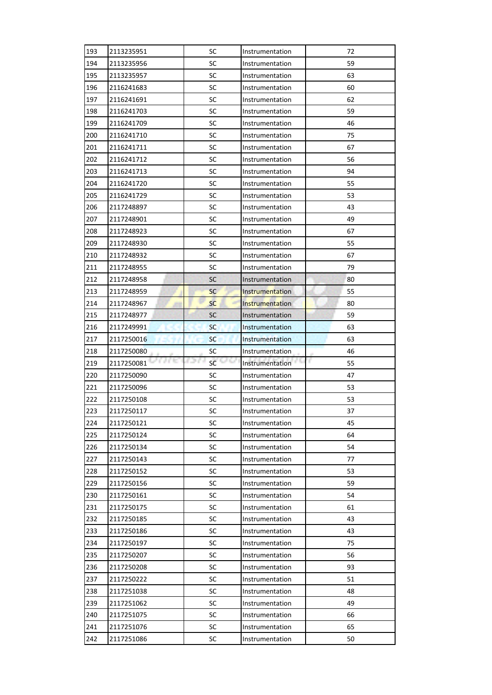| 193        | 2113235951         | SC                   | Instrumentation        | 72       |
|------------|--------------------|----------------------|------------------------|----------|
| 194        | 2113235956         | SC                   | Instrumentation        | 59       |
| 195        | 2113235957         | SC                   | Instrumentation        | 63       |
| 196        | 2116241683         | <b>SC</b>            | Instrumentation        | 60       |
| 197        | 2116241691         | <b>SC</b>            | Instrumentation        | 62       |
| 198        | 2116241703         | SC                   | Instrumentation        | 59       |
| 199        | 2116241709         | SC                   | Instrumentation        | 46       |
| 200        | 2116241710         | SC                   | Instrumentation        | 75       |
| 201        | 2116241711         | SC                   | Instrumentation        | 67       |
| 202        | 2116241712         | SC                   | Instrumentation        | 56       |
| 203        | 2116241713         | <b>SC</b>            | Instrumentation        | 94       |
| 204        | 2116241720         | SC                   | Instrumentation        | 55       |
| 205        | 2116241729         | SC                   | Instrumentation        | 53       |
| 206        | 2117248897         | SC                   | Instrumentation        | 43       |
| 207        | 2117248901         | SC                   | Instrumentation        | 49       |
| 208        | 2117248923         | <b>SC</b>            | Instrumentation        | 67       |
| 209        | 2117248930         | SC                   | Instrumentation        | 55       |
| 210        | 2117248932         | SC                   | Instrumentation        | 67       |
| 211        | 2117248955         | SC                   | Instrumentation        | 79       |
| 212        | 2117248958         | <b>SC</b>            | Instrumentation        | 80       |
| 213        | 2117248959         | <b>SC</b>            | <b>Instrumentation</b> | 55       |
| 214        | 2117248967         | <b>SC</b>            | Instrumentation        | 80       |
| 215        | 2117248977         | <b>SC</b>            | Instrumentation        | 59       |
| 216        | 2117249991         | <b>SC</b>            | Instrumentation        | 63       |
| 217        | 2117250016         | <b>SC</b>            | Instrumentation        | 63       |
|            |                    |                      |                        |          |
| 218        | 2117250080         | <b>SC</b>            | Instrumentation        | 46       |
| 219        | a nu<br>2117250081 | I D C<br>$SC^{\Box}$ | Instrumentation        | r.<br>55 |
| 220        | 2117250090         | SC                   | Instrumentation        | 47       |
| 221        | 2117250096         | <b>SC</b>            | Instrumentation        | 53       |
| 222        | 2117250108         | SC                   | Instrumentation        | 53       |
| 223        | 2117250117         | SC                   | Instrumentation        | 37       |
| 224        | 2117250121         | SC                   | Instrumentation        | 45       |
| 225        | 2117250124         | SC                   | Instrumentation        | 64       |
| 226        | 2117250134         | SC                   | Instrumentation        | 54       |
| 227        | 2117250143         | <b>SC</b>            | Instrumentation        | 77       |
| 228        | 2117250152         | <b>SC</b>            | Instrumentation        | 53       |
| 229        | 2117250156         | <b>SC</b>            | Instrumentation        | 59       |
| 230        | 2117250161         | <b>SC</b>            | Instrumentation        | 54       |
| 231        | 2117250175         | <b>SC</b>            | Instrumentation        | 61       |
| 232        | 2117250185         | SC                   | Instrumentation        | 43       |
| 233        | 2117250186         | SC                   | Instrumentation        | 43       |
| 234        | 2117250197         | SC                   | Instrumentation        | 75       |
| 235        | 2117250207         | <b>SC</b>            | Instrumentation        | 56       |
| 236        | 2117250208         | SC                   | Instrumentation        | 93       |
| 237        | 2117250222         | SC                   | Instrumentation        | 51       |
| 238        | 2117251038         | SC                   | Instrumentation        | 48       |
| 239        | 2117251062         | SC                   | Instrumentation        | 49       |
| 240        | 2117251075         | SC                   | Instrumentation        | 66       |
| 241<br>242 | 2117251076         | SC                   | Instrumentation        | 65       |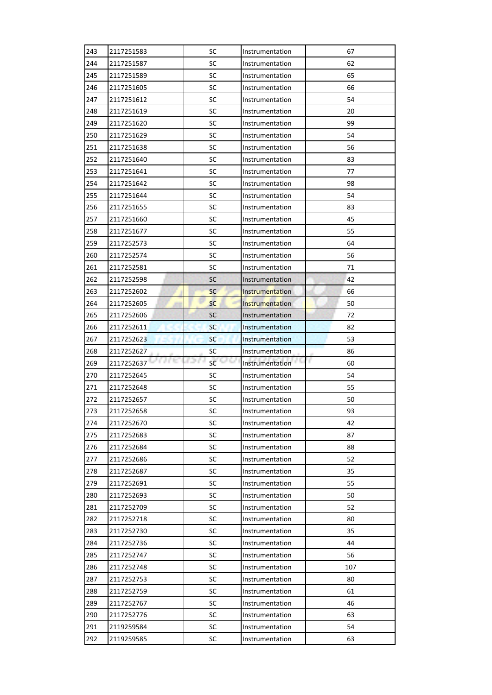| 243 | 2117251583 | SC          | Instrumentation        | 67       |
|-----|------------|-------------|------------------------|----------|
| 244 | 2117251587 | SC          | Instrumentation        | 62       |
| 245 | 2117251589 | SC          | Instrumentation        | 65       |
| 246 | 2117251605 | <b>SC</b>   | Instrumentation        | 66       |
| 247 | 2117251612 | SC          | Instrumentation        | 54       |
| 248 | 2117251619 | SC          | Instrumentation        | 20       |
| 249 | 2117251620 | SC          | Instrumentation        | 99       |
| 250 | 2117251629 | SC          | Instrumentation        | 54       |
| 251 | 2117251638 | SC          | Instrumentation        | 56       |
| 252 | 2117251640 | SC          | Instrumentation        | 83       |
| 253 | 2117251641 | SC          | Instrumentation        | 77       |
| 254 | 2117251642 | SC          | Instrumentation        | 98       |
| 255 | 2117251644 | SC          | Instrumentation        | 54       |
| 256 | 2117251655 | SC          | Instrumentation        | 83       |
| 257 | 2117251660 | SC          | Instrumentation        | 45       |
| 258 | 2117251677 | <b>SC</b>   | Instrumentation        | 55       |
| 259 | 2117252573 | SC          | Instrumentation        | 64       |
| 260 | 2117252574 | SC          | Instrumentation        | 56       |
| 261 | 2117252581 | SC          | Instrumentation        | 71       |
| 262 | 2117252598 | <b>SC</b>   | Instrumentation        | 42       |
| 263 | 2117252602 | <b>SC</b>   | <b>Instrumentation</b> | 66       |
| 264 | 2117252605 | <b>SC</b>   | Instrumentation        | 50       |
| 265 | 2117252606 | <b>SC</b>   | Instrumentation        | 72       |
| 266 | 2117252611 | <b>SC</b>   | Instrumentation        | 82       |
| 267 | 2117252623 | <b>SC</b>   | Instrumentation        | 53       |
|     |            |             |                        |          |
| 268 | 2117252627 | <b>SC</b>   | Instrumentation        | 86       |
| 269 | 2117252637 | I D C<br>SC | Instrumentation        | r.<br>60 |
| 270 | 2117252645 | SC          | Instrumentation        | 54       |
| 271 | 2117252648 | <b>SC</b>   | Instrumentation        | 55       |
| 272 | 2117252657 | SC          | Instrumentation        | 50       |
| 273 | 2117252658 | SC          | Instrumentation        | 93       |
| 274 | 2117252670 | SC          | Instrumentation        | 42       |
| 275 | 2117252683 | SC          | Instrumentation        | 87       |
| 276 | 2117252684 | SC          | Instrumentation        | 88       |
| 277 | 2117252686 | <b>SC</b>   | Instrumentation        | 52       |
| 278 | 2117252687 | <b>SC</b>   | Instrumentation        | 35       |
| 279 | 2117252691 | <b>SC</b>   | Instrumentation        | 55       |
| 280 | 2117252693 | <b>SC</b>   | Instrumentation        | 50       |
| 281 | 2117252709 | <b>SC</b>   | Instrumentation        | 52       |
| 282 | 2117252718 | SC          | Instrumentation        | 80       |
| 283 | 2117252730 | SC          | Instrumentation        | 35       |
| 284 | 2117252736 | SC          | Instrumentation        | 44       |
| 285 | 2117252747 | <b>SC</b>   | Instrumentation        | 56       |
| 286 | 2117252748 | SC          | Instrumentation        | 107      |
| 287 | 2117252753 | SC          | Instrumentation        | 80       |
| 288 | 2117252759 | SC          | Instrumentation        | 61       |
| 289 | 2117252767 | SC          | Instrumentation        | 46       |
| 290 | 2117252776 | SC          | Instrumentation        | 63       |
| 291 | 2119259584 | SC          | Instrumentation        | 54       |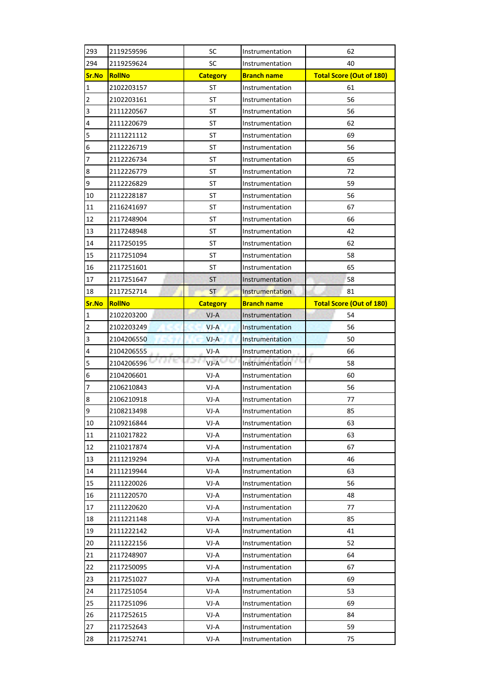| 293            | 2119259596    | SC              | Instrumentation        | 62                              |
|----------------|---------------|-----------------|------------------------|---------------------------------|
| 294            | 2119259624    | SC              | Instrumentation        | 40                              |
| Sr.No          | <b>RollNo</b> | <b>Category</b> | <b>Branch name</b>     | <b>Total Score (Out of 180)</b> |
| $\mathbf{1}$   | 2102203157    | ST              | Instrumentation        | 61                              |
| $\overline{2}$ | 2102203161    | <b>ST</b>       | Instrumentation        | 56                              |
| 3              | 2111220567    | ST              | Instrumentation        | 56                              |
| 4              | 2111220679    | <b>ST</b>       | Instrumentation        | 62                              |
| 5              | 2111221112    | ST              | Instrumentation        | 69                              |
| 6              | 2112226719    | <b>ST</b>       | Instrumentation        | 56                              |
| 7              | 2112226734    | <b>ST</b>       | Instrumentation        | 65                              |
| $\bf 8$        | 2112226779    | ST              | Instrumentation        | 72                              |
| 9              | 2112226829    | ST              | Instrumentation        | 59                              |
| 10             | 2112228187    | <b>ST</b>       | Instrumentation        | 56                              |
| 11             | 2116241697    | <b>ST</b>       | Instrumentation        | 67                              |
| 12             | 2117248904    | ST              | Instrumentation        | 66                              |
| 13             | 2117248948    | <b>ST</b>       | Instrumentation        | 42                              |
| 14             | 2117250195    | ST              | Instrumentation        | 62                              |
| 15             | 2117251094    | ST              | Instrumentation        | 58                              |
| 16             | 2117251601    | <b>ST</b>       | Instrumentation        | 65                              |
| 17             | 2117251647    | <b>ST</b>       | Instrumentation        | 58                              |
| 18             | 2117252714    | <b>ST</b>       | Instrumentation        | 81                              |
| Sr.No          | <b>RollNo</b> | <b>Category</b> | <b>Branch name</b>     | <b>Total Score (Out of 180)</b> |
| $\mathbf{1}$   | 2102203200    | $VI-A$          | Instrumentation        | 54                              |
| $\overline{2}$ | 2102203249    | $VI-A$          | Instrumentation        | 56                              |
| 3              | 2104206550    | $VI-A$          | <b>Instrumentation</b> | 50                              |
| 4              | 2104206555    | $VI-A$          | Instrumentation        | 66                              |
| 5              | 2104206596    | CD I<br>VJ-A    | Instrumentation        | r.<br>58                        |
| 6              | 2104206601    | VJ-A            | Instrumentation        | 60                              |
| 7              | 2106210843    | VJ-A            | Instrumentation        | 56                              |
| 8              | 2106210918    | VJ-A            | Instrumentation        | 77                              |
| 9              | 2108213498    | VJ-A            | Instrumentation        | 85                              |
| 10             | 2109216844    | VJ-A            | Instrumentation        | 63                              |
| 11             | 2110217822    | VJ-A            | Instrumentation        | 63                              |
| 12             |               |                 |                        |                                 |
|                | 2110217874    | VJ-A            | Instrumentation        | 67                              |
| 13             | 2111219294    | VJ-A            | Instrumentation        | 46                              |
| 14             | 2111219944    | VJ-A            | Instrumentation        | 63                              |
| 15             | 2111220026    | VJ-A            | Instrumentation        | 56                              |
| 16             | 2111220570    | VJ-A            | Instrumentation        | 48                              |
| 17             | 2111220620    | VJ-A            | Instrumentation        | 77                              |
| 18             | 2111221148    | VJ-A            | Instrumentation        | 85                              |
| 19             | 2111222142    | VJ-A            | Instrumentation        | 41                              |
| 20             | 2111222156    | VJ-A            | Instrumentation        | 52                              |
| 21             | 2117248907    | VJ-A            | Instrumentation        | 64                              |
| 22             | 2117250095    | VJ-A            | Instrumentation        | 67                              |
| 23             | 2117251027    | VJ-A            | Instrumentation        | 69                              |
| 24             | 2117251054    | VJ-A            | Instrumentation        | 53                              |
| 25             | 2117251096    | VJ-A            | Instrumentation        | 69                              |
| 26             | 2117252615    | VJ-A            | Instrumentation        | 84                              |
| 27             | 2117252643    | VJ-A            | Instrumentation        | 59                              |